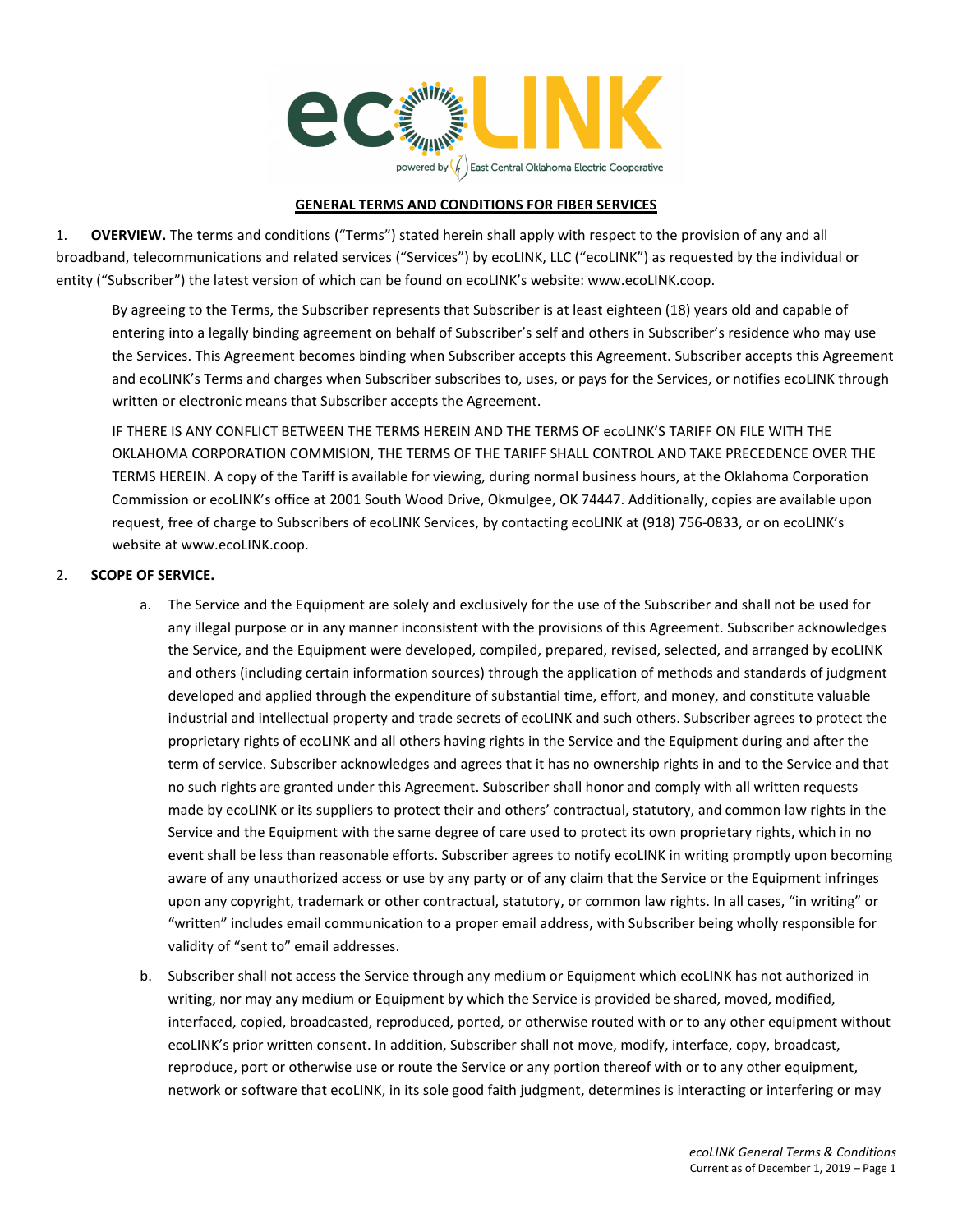

# **GENERAL TERMS AND CONDITIONS FOR FIBER SERVICES**

1. **OVERVIEW.** The terms and conditions ("Terms") stated herein shall apply with respect to the provision of any and all broadband, telecommunications and related services ("Services") by ecoLINK, LLC ("ecoLINK") as requested by the individual or entity ("Subscriber") the latest version of which can be found on ecoLINK's website: www.ecoLINK.coop.

By agreeing to the Terms, the Subscriber represents that Subscriber is at least eighteen (18) years old and capable of entering into a legally binding agreement on behalf of Subscriber's self and others in Subscriber's residence who may use the Services. This Agreement becomes binding when Subscriber accepts this Agreement. Subscriber accepts this Agreement and ecoLINK's Terms and charges when Subscriber subscribes to, uses, or pays for the Services, or notifies ecoLINK through written or electronic means that Subscriber accepts the Agreement.

IF THERE IS ANY CONFLICT BETWEEN THE TERMS HEREIN AND THE TERMS OF ecoLINK'S TARIFF ON FILE WITH THE OKLAHOMA CORPORATION COMMISION, THE TERMS OF THE TARIFF SHALL CONTROL AND TAKE PRECEDENCE OVER THE TERMS HEREIN. A copy of the Tariff is available for viewing, during normal business hours, at the Oklahoma Corporation Commission or ecoLINK's office at 2001 South Wood Drive, Okmulgee, OK 74447. Additionally, copies are available upon request, free of charge to Subscribers of ecoLINK Services, by contacting ecoLINK at (918) 756-0833, or on ecoLINK's website at www.ecoLINK.coop.

# 2. **SCOPE OF SERVICE.**

- a. The Service and the Equipment are solely and exclusively for the use of the Subscriber and shall not be used for any illegal purpose or in any manner inconsistent with the provisions of this Agreement. Subscriber acknowledges the Service, and the Equipment were developed, compiled, prepared, revised, selected, and arranged by ecoLINK and others (including certain information sources) through the application of methods and standards of judgment developed and applied through the expenditure of substantial time, effort, and money, and constitute valuable industrial and intellectual property and trade secrets of ecoLINK and such others. Subscriber agrees to protect the proprietary rights of ecoLINK and all others having rights in the Service and the Equipment during and after the term of service. Subscriber acknowledges and agrees that it has no ownership rights in and to the Service and that no such rights are granted under this Agreement. Subscriber shall honor and comply with all written requests made by ecoLINK or its suppliers to protect their and others' contractual, statutory, and common law rights in the Service and the Equipment with the same degree of care used to protect its own proprietary rights, which in no event shall be less than reasonable efforts. Subscriber agrees to notify ecoLINK in writing promptly upon becoming aware of any unauthorized access or use by any party or of any claim that the Service or the Equipment infringes upon any copyright, trademark or other contractual, statutory, or common law rights. In all cases, "in writing" or "written" includes email communication to a proper email address, with Subscriber being wholly responsible for validity of "sent to" email addresses.
- b. Subscriber shall not access the Service through any medium or Equipment which ecoLINK has not authorized in writing, nor may any medium or Equipment by which the Service is provided be shared, moved, modified, interfaced, copied, broadcasted, reproduced, ported, or otherwise routed with or to any other equipment without ecoLINK's prior written consent. In addition, Subscriber shall not move, modify, interface, copy, broadcast, reproduce, port or otherwise use or route the Service or any portion thereof with or to any other equipment, network or software that ecoLINK, in its sole good faith judgment, determines is interacting or interfering or may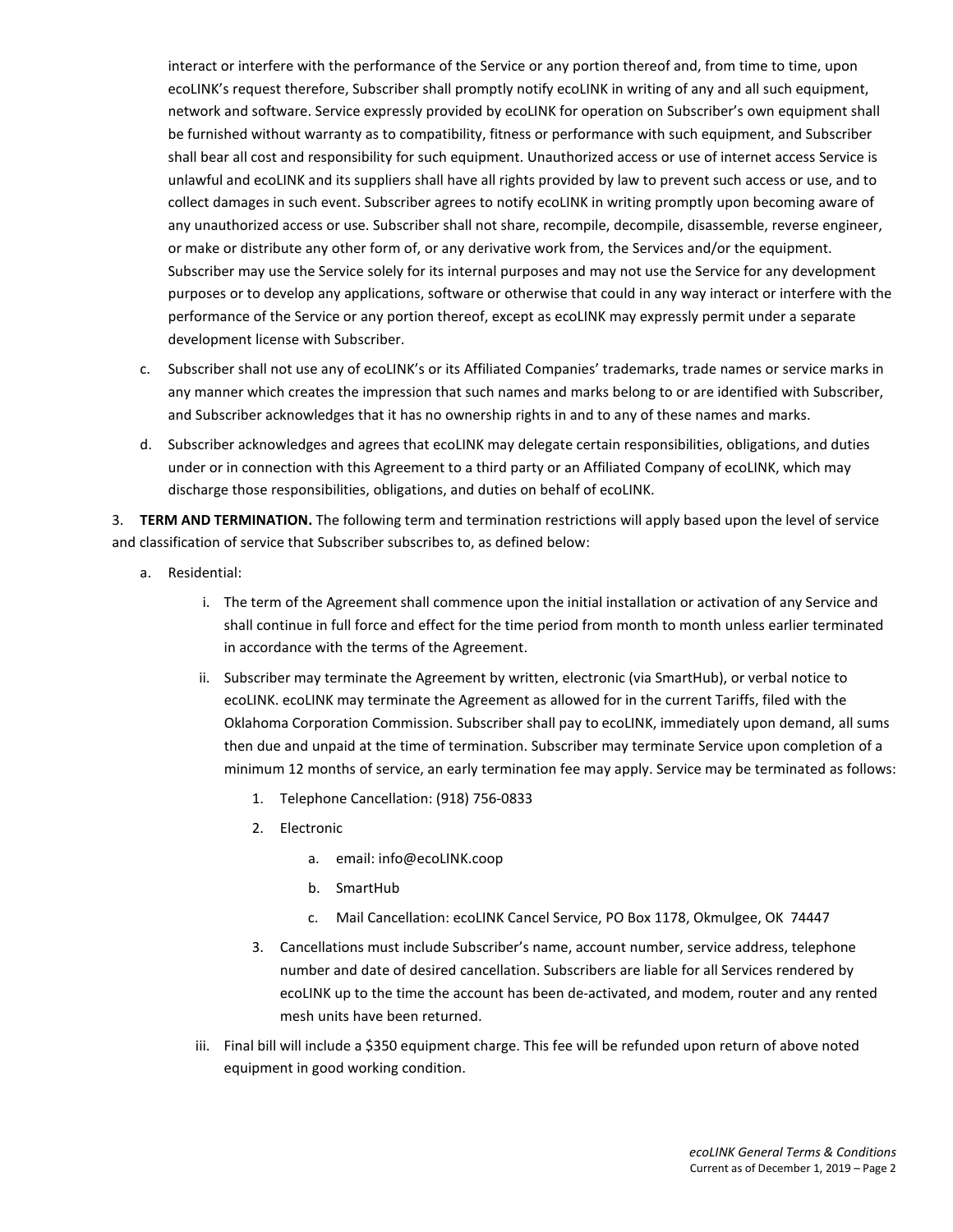interact or interfere with the performance of the Service or any portion thereof and, from time to time, upon ecoLINK's request therefore, Subscriber shall promptly notify ecoLINK in writing of any and all such equipment, network and software. Service expressly provided by ecoLINK for operation on Subscriber's own equipment shall be furnished without warranty as to compatibility, fitness or performance with such equipment, and Subscriber shall bear all cost and responsibility for such equipment. Unauthorized access or use of internet access Service is unlawful and ecoLINK and its suppliers shall have all rights provided by law to prevent such access or use, and to collect damages in such event. Subscriber agrees to notify ecoLINK in writing promptly upon becoming aware of any unauthorized access or use. Subscriber shall not share, recompile, decompile, disassemble, reverse engineer, or make or distribute any other form of, or any derivative work from, the Services and/or the equipment. Subscriber may use the Service solely for its internal purposes and may not use the Service for any development purposes or to develop any applications, software or otherwise that could in any way interact or interfere with the performance of the Service or any portion thereof, except as ecoLINK may expressly permit under a separate development license with Subscriber.

- c. Subscriber shall not use any of ecoLINK's or its Affiliated Companies' trademarks, trade names or service marks in any manner which creates the impression that such names and marks belong to or are identified with Subscriber, and Subscriber acknowledges that it has no ownership rights in and to any of these names and marks.
- d. Subscriber acknowledges and agrees that ecoLINK may delegate certain responsibilities, obligations, and duties under or in connection with this Agreement to a third party or an Affiliated Company of ecoLINK, which may discharge those responsibilities, obligations, and duties on behalf of ecoLINK.

3. **TERM AND TERMINATION.** The following term and termination restrictions will apply based upon the level of service and classification of service that Subscriber subscribes to, as defined below:

- a. Residential:
	- i. The term of the Agreement shall commence upon the initial installation or activation of any Service and shall continue in full force and effect for the time period from month to month unless earlier terminated in accordance with the terms of the Agreement.
	- ii. Subscriber may terminate the Agreement by written, electronic (via SmartHub), or verbal notice to ecoLINK. ecoLINK may terminate the Agreement as allowed for in the current Tariffs, filed with the Oklahoma Corporation Commission. Subscriber shall pay to ecoLINK, immediately upon demand, all sums then due and unpaid at the time of termination. Subscriber may terminate Service upon completion of a minimum 12 months of service, an early termination fee may apply. Service may be terminated as follows:
		- 1. Telephone Cancellation: (918) 756-0833
		- 2. Electronic
			- a. email: info@ecoLINK.coop
			- b. SmartHub
			- c. Mail Cancellation: ecoLINK Cancel Service, PO Box 1178, Okmulgee, OK 74447
		- 3. Cancellations must include Subscriber's name, account number, service address, telephone number and date of desired cancellation. Subscribers are liable for all Services rendered by ecoLINK up to the time the account has been de-activated, and modem, router and any rented mesh units have been returned.
	- iii. Final bill will include a \$350 equipment charge. This fee will be refunded upon return of above noted equipment in good working condition.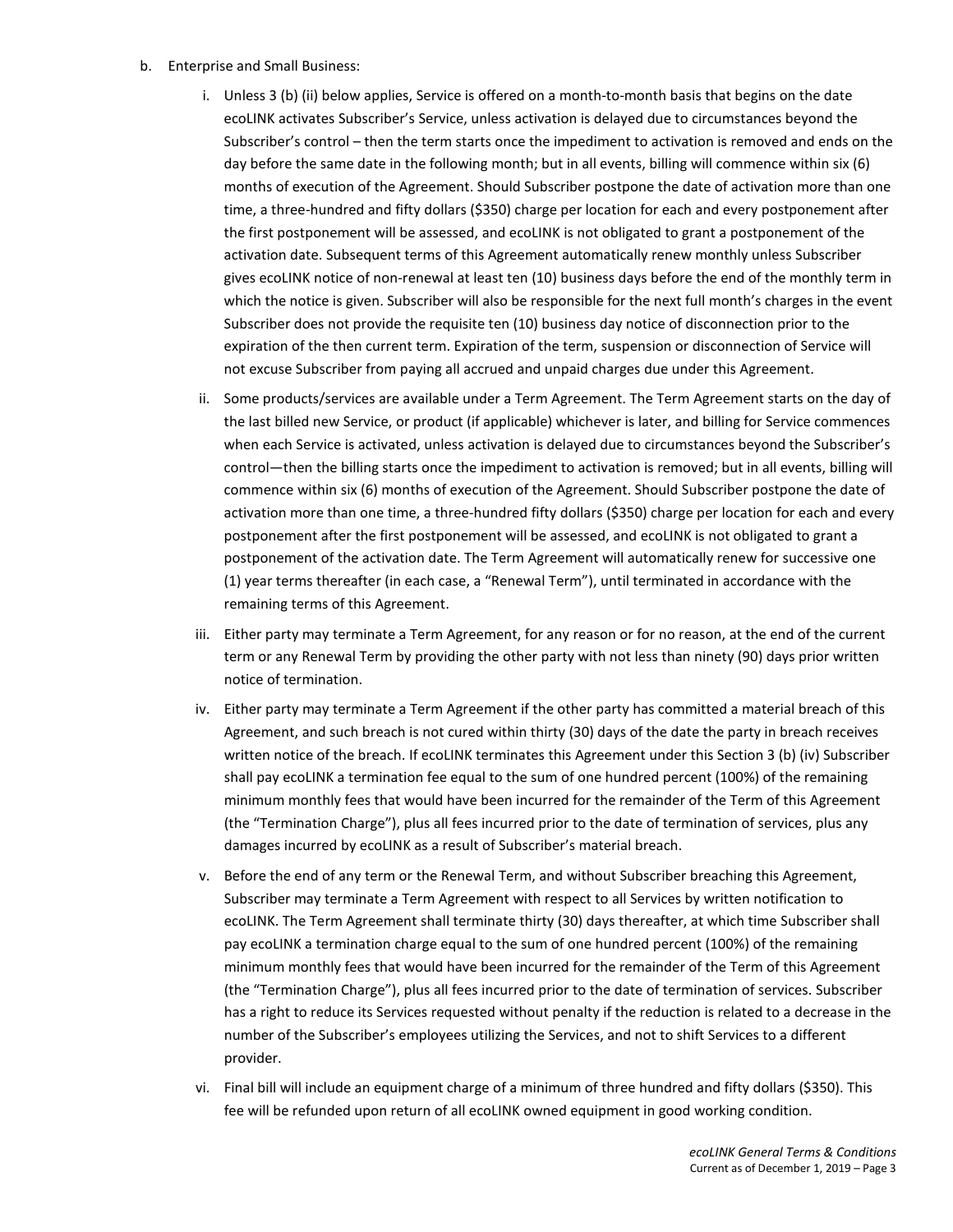- b. Enterprise and Small Business:
	- i. Unless 3 (b) (ii) below applies, Service is offered on a month-to-month basis that begins on the date ecoLINK activates Subscriber's Service, unless activation is delayed due to circumstances beyond the Subscriber's control – then the term starts once the impediment to activation is removed and ends on the day before the same date in the following month; but in all events, billing will commence within six (6) months of execution of the Agreement. Should Subscriber postpone the date of activation more than one time, a three-hundred and fifty dollars (\$350) charge per location for each and every postponement after the first postponement will be assessed, and ecoLINK is not obligated to grant a postponement of the activation date. Subsequent terms of this Agreement automatically renew monthly unless Subscriber gives ecoLINK notice of non-renewal at least ten (10) business days before the end of the monthly term in which the notice is given. Subscriber will also be responsible for the next full month's charges in the event Subscriber does not provide the requisite ten (10) business day notice of disconnection prior to the expiration of the then current term. Expiration of the term, suspension or disconnection of Service will not excuse Subscriber from paying all accrued and unpaid charges due under this Agreement.
	- ii. Some products/services are available under a Term Agreement. The Term Agreement starts on the day of the last billed new Service, or product (if applicable) whichever is later, and billing for Service commences when each Service is activated, unless activation is delayed due to circumstances beyond the Subscriber's control—then the billing starts once the impediment to activation is removed; but in all events, billing will commence within six (6) months of execution of the Agreement. Should Subscriber postpone the date of activation more than one time, a three-hundred fifty dollars (\$350) charge per location for each and every postponement after the first postponement will be assessed, and ecoLINK is not obligated to grant a postponement of the activation date. The Term Agreement will automatically renew for successive one (1) year terms thereafter (in each case, a "Renewal Term"), until terminated in accordance with the remaining terms of this Agreement.
	- iii. Either party may terminate a Term Agreement, for any reason or for no reason, at the end of the current term or any Renewal Term by providing the other party with not less than ninety (90) days prior written notice of termination.
	- iv. Either party may terminate a Term Agreement if the other party has committed a material breach of this Agreement, and such breach is not cured within thirty (30) days of the date the party in breach receives written notice of the breach. If ecoLINK terminates this Agreement under this Section 3 (b) (iv) Subscriber shall pay ecoLINK a termination fee equal to the sum of one hundred percent (100%) of the remaining minimum monthly fees that would have been incurred for the remainder of the Term of this Agreement (the "Termination Charge"), plus all fees incurred prior to the date of termination of services, plus any damages incurred by ecoLINK as a result of Subscriber's material breach.
	- v. Before the end of any term or the Renewal Term, and without Subscriber breaching this Agreement, Subscriber may terminate a Term Agreement with respect to all Services by written notification to ecoLINK. The Term Agreement shall terminate thirty (30) days thereafter, at which time Subscriber shall pay ecoLINK a termination charge equal to the sum of one hundred percent (100%) of the remaining minimum monthly fees that would have been incurred for the remainder of the Term of this Agreement (the "Termination Charge"), plus all fees incurred prior to the date of termination of services. Subscriber has a right to reduce its Services requested without penalty if the reduction is related to a decrease in the number of the Subscriber's employees utilizing the Services, and not to shift Services to a different provider.
	- vi. Final bill will include an equipment charge of a minimum of three hundred and fifty dollars (\$350). This fee will be refunded upon return of all ecoLINK owned equipment in good working condition.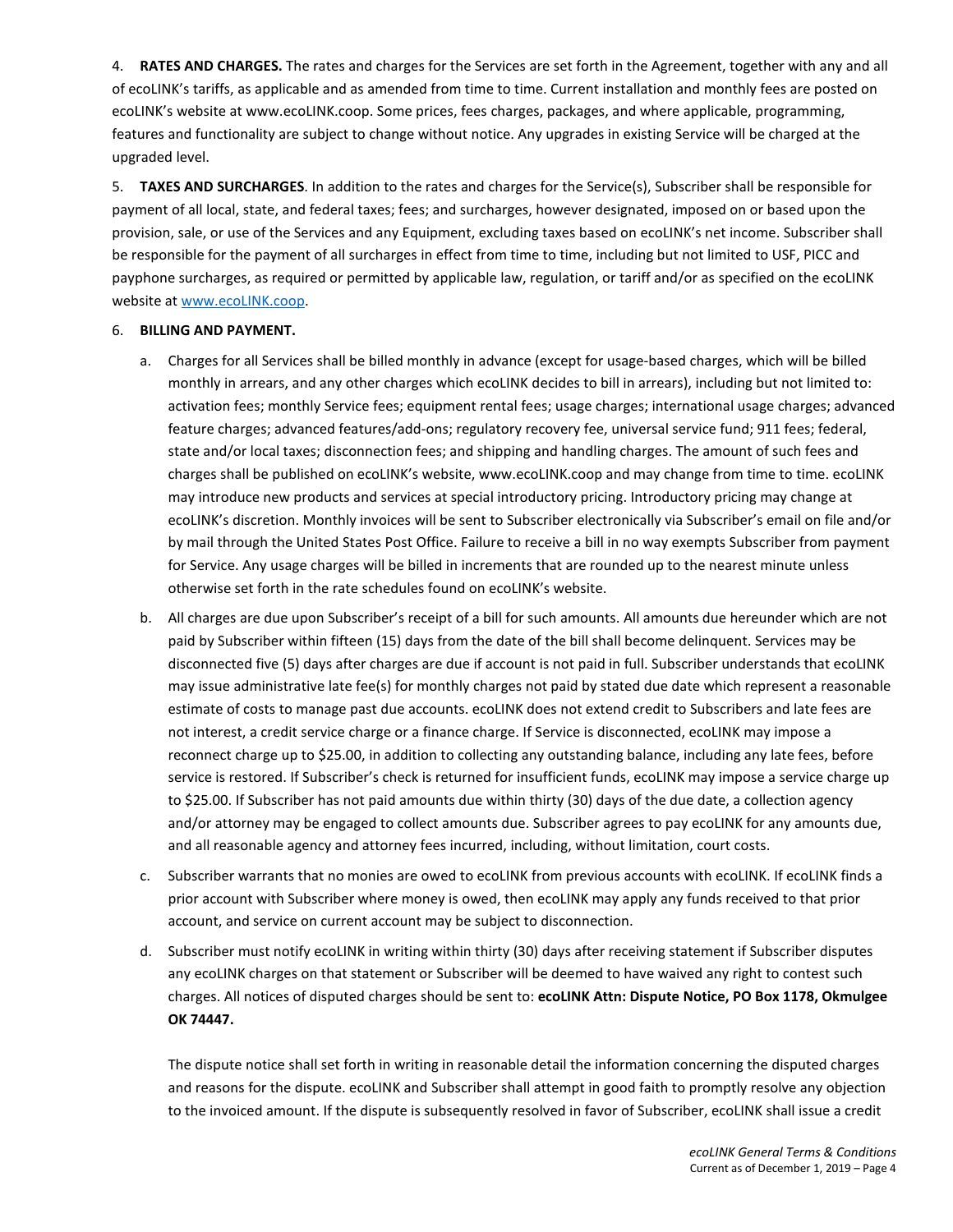4. **RATES AND CHARGES.** The rates and charges for the Services are set forth in the Agreement, together with any and all of ecoLINK's tariffs, as applicable and as amended from time to time. Current installation and monthly fees are posted on ecoLINK's website at www.ecoLINK.coop. Some prices, fees charges, packages, and where applicable, programming, features and functionality are subject to change without notice. Any upgrades in existing Service will be charged at the upgraded level.

5. **TAXES AND SURCHARGES**. In addition to the rates and charges for the Service(s), Subscriber shall be responsible for payment of all local, state, and federal taxes; fees; and surcharges, however designated, imposed on or based upon the provision, sale, or use of the Services and any Equipment, excluding taxes based on ecoLINK's net income. Subscriber shall be responsible for the payment of all surcharges in effect from time to time, including but not limited to USF, PICC and payphone surcharges, as required or permitted by applicable law, regulation, or tariff and/or as specified on the ecoLINK website a[t www.ecoLINK.coop.](http://www.ecolink.coop/)

#### 6. **BILLING AND PAYMENT.**

- a. Charges for all Services shall be billed monthly in advance (except for usage-based charges, which will be billed monthly in arrears, and any other charges which ecoLINK decides to bill in arrears), including but not limited to: activation fees; monthly Service fees; equipment rental fees; usage charges; international usage charges; advanced feature charges; advanced features/add-ons; regulatory recovery fee, universal service fund; 911 fees; federal, state and/or local taxes; disconnection fees; and shipping and handling charges. The amount of such fees and charges shall be published on ecoLINK's website, www.ecoLINK.coop and may change from time to time. ecoLINK may introduce new products and services at special introductory pricing. Introductory pricing may change at ecoLINK's discretion. Monthly invoices will be sent to Subscriber electronically via Subscriber's email on file and/or by mail through the United States Post Office. Failure to receive a bill in no way exempts Subscriber from payment for Service. Any usage charges will be billed in increments that are rounded up to the nearest minute unless otherwise set forth in the rate schedules found on ecoLINK's website.
- b. All charges are due upon Subscriber's receipt of a bill for such amounts. All amounts due hereunder which are not paid by Subscriber within fifteen (15) days from the date of the bill shall become delinquent. Services may be disconnected five (5) days after charges are due if account is not paid in full. Subscriber understands that ecoLINK may issue administrative late fee(s) for monthly charges not paid by stated due date which represent a reasonable estimate of costs to manage past due accounts. ecoLINK does not extend credit to Subscribers and late fees are not interest, a credit service charge or a finance charge. If Service is disconnected, ecoLINK may impose a reconnect charge up to \$25.00, in addition to collecting any outstanding balance, including any late fees, before service is restored. If Subscriber's check is returned for insufficient funds, ecoLINK may impose a service charge up to \$25.00. If Subscriber has not paid amounts due within thirty (30) days of the due date, a collection agency and/or attorney may be engaged to collect amounts due. Subscriber agrees to pay ecoLINK for any amounts due, and all reasonable agency and attorney fees incurred, including, without limitation, court costs.
- c. Subscriber warrants that no monies are owed to ecoLINK from previous accounts with ecoLINK. If ecoLINK finds a prior account with Subscriber where money is owed, then ecoLINK may apply any funds received to that prior account, and service on current account may be subject to disconnection.
- d. Subscriber must notify ecoLINK in writing within thirty (30) days after receiving statement if Subscriber disputes any ecoLINK charges on that statement or Subscriber will be deemed to have waived any right to contest such charges. All notices of disputed charges should be sent to: **ecoLINK Attn: Dispute Notice, PO Box 1178, Okmulgee OK 74447.**

The dispute notice shall set forth in writing in reasonable detail the information concerning the disputed charges and reasons for the dispute. ecoLINK and Subscriber shall attempt in good faith to promptly resolve any objection to the invoiced amount. If the dispute is subsequently resolved in favor of Subscriber, ecoLINK shall issue a credit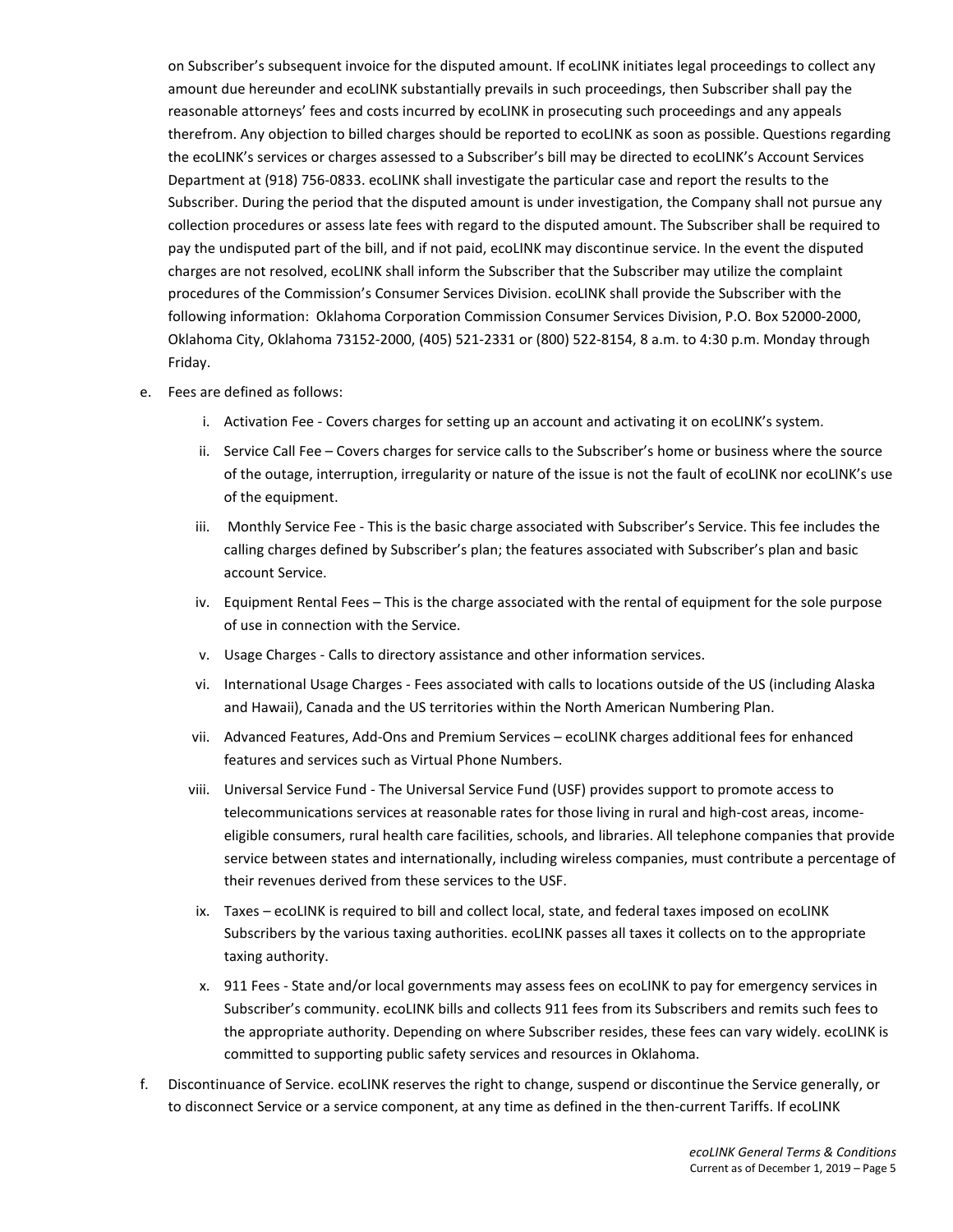on Subscriber's subsequent invoice for the disputed amount. If ecoLINK initiates legal proceedings to collect any amount due hereunder and ecoLINK substantially prevails in such proceedings, then Subscriber shall pay the reasonable attorneys' fees and costs incurred by ecoLINK in prosecuting such proceedings and any appeals therefrom. Any objection to billed charges should be reported to ecoLINK as soon as possible. Questions regarding the ecoLINK's services or charges assessed to a Subscriber's bill may be directed to ecoLINK's Account Services Department at (918) 756-0833. ecoLINK shall investigate the particular case and report the results to the Subscriber. During the period that the disputed amount is under investigation, the Company shall not pursue any collection procedures or assess late fees with regard to the disputed amount. The Subscriber shall be required to pay the undisputed part of the bill, and if not paid, ecoLINK may discontinue service. In the event the disputed charges are not resolved, ecoLINK shall inform the Subscriber that the Subscriber may utilize the complaint procedures of the Commission's Consumer Services Division. ecoLINK shall provide the Subscriber with the following information: Oklahoma Corporation Commission Consumer Services Division, P.O. Box 52000-2000, Oklahoma City, Oklahoma 73152-2000, (405) 521-2331 or (800) 522-8154, 8 a.m. to 4:30 p.m. Monday through Friday.

- e. Fees are defined as follows:
	- i. Activation Fee Covers charges for setting up an account and activating it on ecoLINK's system.
	- ii. Service Call Fee Covers charges for service calls to the Subscriber's home or business where the source of the outage, interruption, irregularity or nature of the issue is not the fault of ecoLINK nor ecoLINK's use of the equipment.
	- iii. Monthly Service Fee This is the basic charge associated with Subscriber's Service. This fee includes the calling charges defined by Subscriber's plan; the features associated with Subscriber's plan and basic account Service.
	- iv. Equipment Rental Fees This is the charge associated with the rental of equipment for the sole purpose of use in connection with the Service.
	- v. Usage Charges Calls to directory assistance and other information services.
	- vi. International Usage Charges Fees associated with calls to locations outside of the US (including Alaska and Hawaii), Canada and the US territories within the North American Numbering Plan.
	- vii. Advanced Features, Add-Ons and Premium Services ecoLINK charges additional fees for enhanced features and services such as Virtual Phone Numbers.
	- viii. Universal Service Fund The Universal Service Fund (USF) provides support to promote access to telecommunications services at reasonable rates for those living in rural and high-cost areas, incomeeligible consumers, rural health care facilities, schools, and libraries. All telephone companies that provide service between states and internationally, including wireless companies, must contribute a percentage of their revenues derived from these services to the USF.
	- ix. Taxes ecoLINK is required to bill and collect local, state, and federal taxes imposed on ecoLINK Subscribers by the various taxing authorities. ecoLINK passes all taxes it collects on to the appropriate taxing authority.
	- x. 911 Fees State and/or local governments may assess fees on ecoLINK to pay for emergency services in Subscriber's community. ecoLINK bills and collects 911 fees from its Subscribers and remits such fees to the appropriate authority. Depending on where Subscriber resides, these fees can vary widely. ecoLINK is committed to supporting public safety services and resources in Oklahoma.
- f. Discontinuance of Service. ecoLINK reserves the right to change, suspend or discontinue the Service generally, or to disconnect Service or a service component, at any time as defined in the then-current Tariffs. If ecoLINK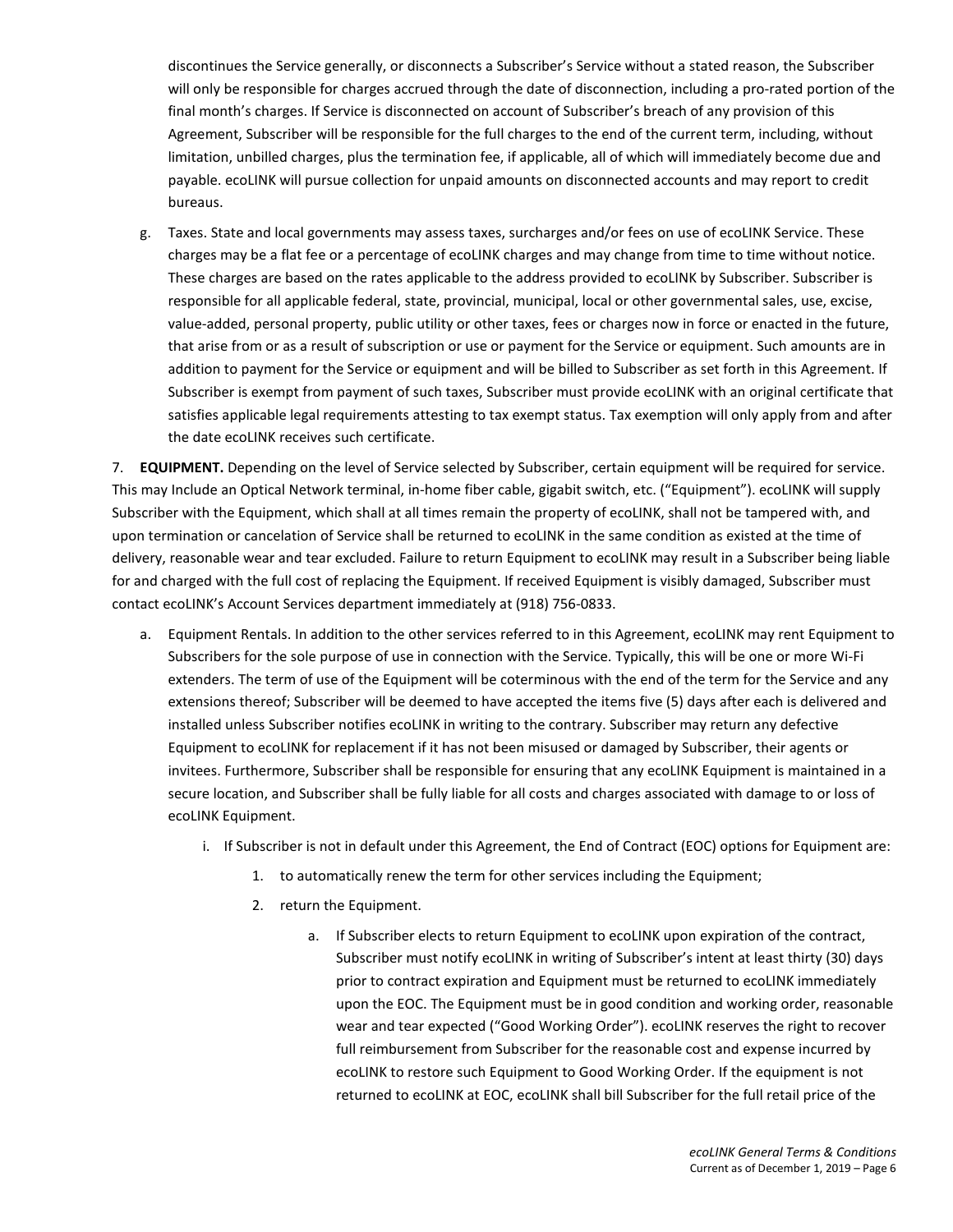discontinues the Service generally, or disconnects a Subscriber's Service without a stated reason, the Subscriber will only be responsible for charges accrued through the date of disconnection, including a pro-rated portion of the final month's charges. If Service is disconnected on account of Subscriber's breach of any provision of this Agreement, Subscriber will be responsible for the full charges to the end of the current term, including, without limitation, unbilled charges, plus the termination fee, if applicable, all of which will immediately become due and payable. ecoLINK will pursue collection for unpaid amounts on disconnected accounts and may report to credit bureaus.

g. Taxes. State and local governments may assess taxes, surcharges and/or fees on use of ecoLINK Service. These charges may be a flat fee or a percentage of ecoLINK charges and may change from time to time without notice. These charges are based on the rates applicable to the address provided to ecoLINK by Subscriber. Subscriber is responsible for all applicable federal, state, provincial, municipal, local or other governmental sales, use, excise, value-added, personal property, public utility or other taxes, fees or charges now in force or enacted in the future, that arise from or as a result of subscription or use or payment for the Service or equipment. Such amounts are in addition to payment for the Service or equipment and will be billed to Subscriber as set forth in this Agreement. If Subscriber is exempt from payment of such taxes, Subscriber must provide ecoLINK with an original certificate that satisfies applicable legal requirements attesting to tax exempt status. Tax exemption will only apply from and after the date ecoLINK receives such certificate.

7. **EQUIPMENT.** Depending on the level of Service selected by Subscriber, certain equipment will be required for service. This may Include an Optical Network terminal, in-home fiber cable, gigabit switch, etc. ("Equipment"). ecoLINK will supply Subscriber with the Equipment, which shall at all times remain the property of ecoLINK, shall not be tampered with, and upon termination or cancelation of Service shall be returned to ecoLINK in the same condition as existed at the time of delivery, reasonable wear and tear excluded. Failure to return Equipment to ecoLINK may result in a Subscriber being liable for and charged with the full cost of replacing the Equipment. If received Equipment is visibly damaged, Subscriber must contact ecoLINK's Account Services department immediately at (918) 756-0833.

- a. Equipment Rentals. In addition to the other services referred to in this Agreement, ecoLINK may rent Equipment to Subscribers for the sole purpose of use in connection with the Service. Typically, this will be one or more Wi-Fi extenders. The term of use of the Equipment will be coterminous with the end of the term for the Service and any extensions thereof; Subscriber will be deemed to have accepted the items five (5) days after each is delivered and installed unless Subscriber notifies ecoLINK in writing to the contrary. Subscriber may return any defective Equipment to ecoLINK for replacement if it has not been misused or damaged by Subscriber, their agents or invitees. Furthermore, Subscriber shall be responsible for ensuring that any ecoLINK Equipment is maintained in a secure location, and Subscriber shall be fully liable for all costs and charges associated with damage to or loss of ecoLINK Equipment.
	- i. If Subscriber is not in default under this Agreement, the End of Contract (EOC) options for Equipment are:
		- 1. to automatically renew the term for other services including the Equipment;
		- 2. return the Equipment.
			- a. If Subscriber elects to return Equipment to ecoLINK upon expiration of the contract, Subscriber must notify ecoLINK in writing of Subscriber's intent at least thirty (30) days prior to contract expiration and Equipment must be returned to ecoLINK immediately upon the EOC. The Equipment must be in good condition and working order, reasonable wear and tear expected ("Good Working Order"). ecoLINK reserves the right to recover full reimbursement from Subscriber for the reasonable cost and expense incurred by ecoLINK to restore such Equipment to Good Working Order. If the equipment is not returned to ecoLINK at EOC, ecoLINK shall bill Subscriber for the full retail price of the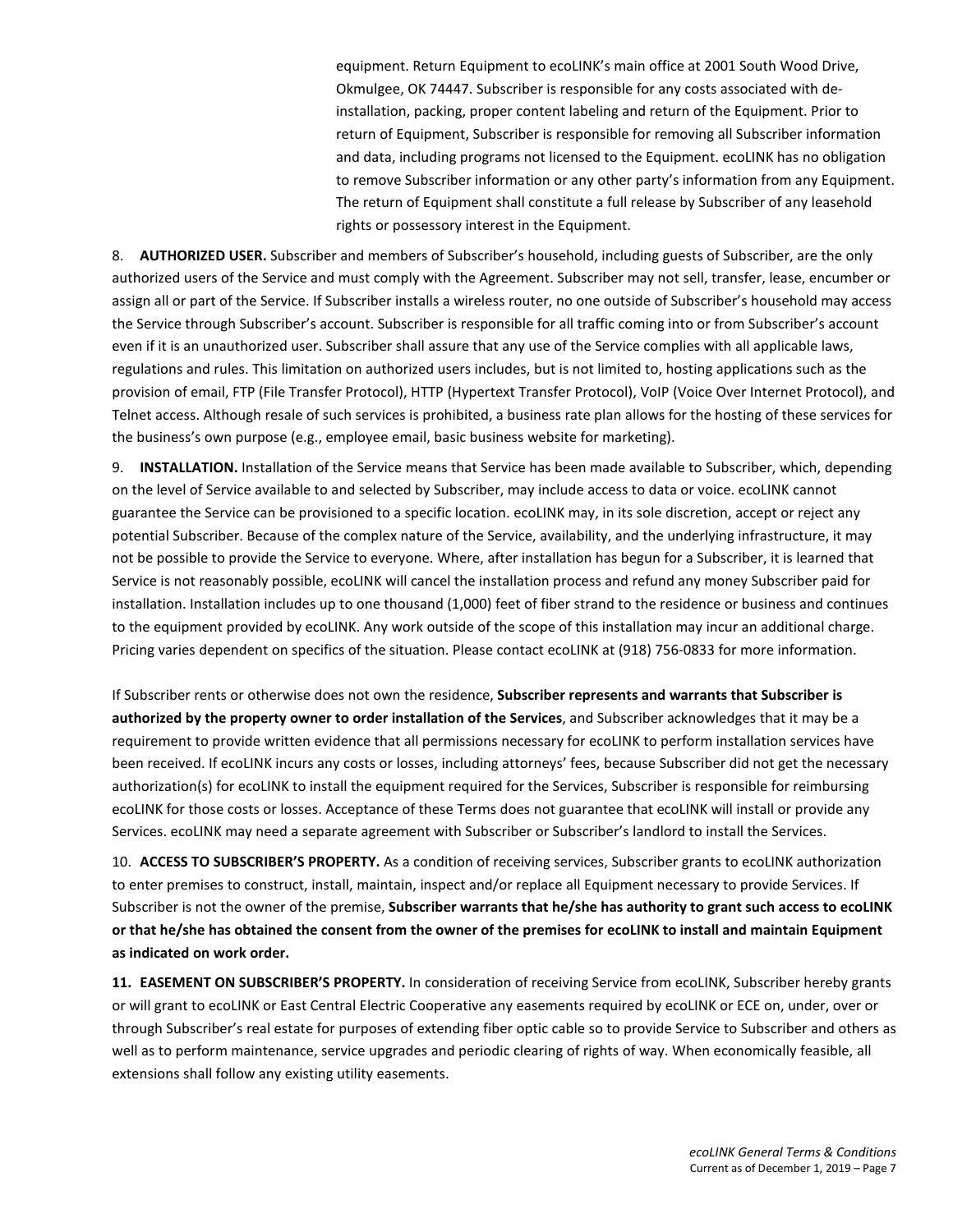equipment. Return Equipment to ecoLINK's main office at 2001 South Wood Drive, Okmulgee, OK 74447. Subscriber is responsible for any costs associated with deinstallation, packing, proper content labeling and return of the Equipment. Prior to return of Equipment, Subscriber is responsible for removing all Subscriber information and data, including programs not licensed to the Equipment. ecoLINK has no obligation to remove Subscriber information or any other party's information from any Equipment. The return of Equipment shall constitute a full release by Subscriber of any leasehold rights or possessory interest in the Equipment.

8. **AUTHORIZED USER.** Subscriber and members of Subscriber's household, including guests of Subscriber, are the only authorized users of the Service and must comply with the Agreement. Subscriber may not sell, transfer, lease, encumber or assign all or part of the Service. If Subscriber installs a wireless router, no one outside of Subscriber's household may access the Service through Subscriber's account. Subscriber is responsible for all traffic coming into or from Subscriber's account even if it is an unauthorized user. Subscriber shall assure that any use of the Service complies with all applicable laws, regulations and rules. This limitation on authorized users includes, but is not limited to, hosting applications such as the provision of email, FTP (File Transfer Protocol), HTTP (Hypertext Transfer Protocol), VoIP (Voice Over Internet Protocol), and Telnet access. Although resale of such services is prohibited, a business rate plan allows for the hosting of these services for the business's own purpose (e.g., employee email, basic business website for marketing).

9. **INSTALLATION.** Installation of the Service means that Service has been made available to Subscriber, which, depending on the level of Service available to and selected by Subscriber, may include access to data or voice. ecoLINK cannot guarantee the Service can be provisioned to a specific location. ecoLINK may, in its sole discretion, accept or reject any potential Subscriber. Because of the complex nature of the Service, availability, and the underlying infrastructure, it may not be possible to provide the Service to everyone. Where, after installation has begun for a Subscriber, it is learned that Service is not reasonably possible, ecoLINK will cancel the installation process and refund any money Subscriber paid for installation. Installation includes up to one thousand (1,000) feet of fiber strand to the residence or business and continues to the equipment provided by ecoLINK. Any work outside of the scope of this installation may incur an additional charge. Pricing varies dependent on specifics of the situation. Please contact ecoLINK at (918) 756-0833 for more information.

If Subscriber rents or otherwise does not own the residence, **Subscriber represents and warrants that Subscriber is authorized by the property owner to order installation of the Services**, and Subscriber acknowledges that it may be a requirement to provide written evidence that all permissions necessary for ecoLINK to perform installation services have been received. If ecoLINK incurs any costs or losses, including attorneys' fees, because Subscriber did not get the necessary authorization(s) for ecoLINK to install the equipment required for the Services, Subscriber is responsible for reimbursing ecoLINK for those costs or losses. Acceptance of these Terms does not guarantee that ecoLINK will install or provide any Services. ecoLINK may need a separate agreement with Subscriber or Subscriber's landlord to install the Services.

10. **ACCESS TO SUBSCRIBER'S PROPERTY.** As a condition of receiving services, Subscriber grants to ecoLINK authorization to enter premises to construct, install, maintain, inspect and/or replace all Equipment necessary to provide Services. If Subscriber is not the owner of the premise, **Subscriber warrants that he/she has authority to grant such access to ecoLINK or that he/she has obtained the consent from the owner of the premises for ecoLINK to install and maintain Equipment as indicated on work order.**

**11. EASEMENT ON SUBSCRIBER'S PROPERTY.** In consideration of receiving Service from ecoLINK, Subscriber hereby grants or will grant to ecoLINK or East Central Electric Cooperative any easements required by ecoLINK or ECE on, under, over or through Subscriber's real estate for purposes of extending fiber optic cable so to provide Service to Subscriber and others as well as to perform maintenance, service upgrades and periodic clearing of rights of way. When economically feasible, all extensions shall follow any existing utility easements.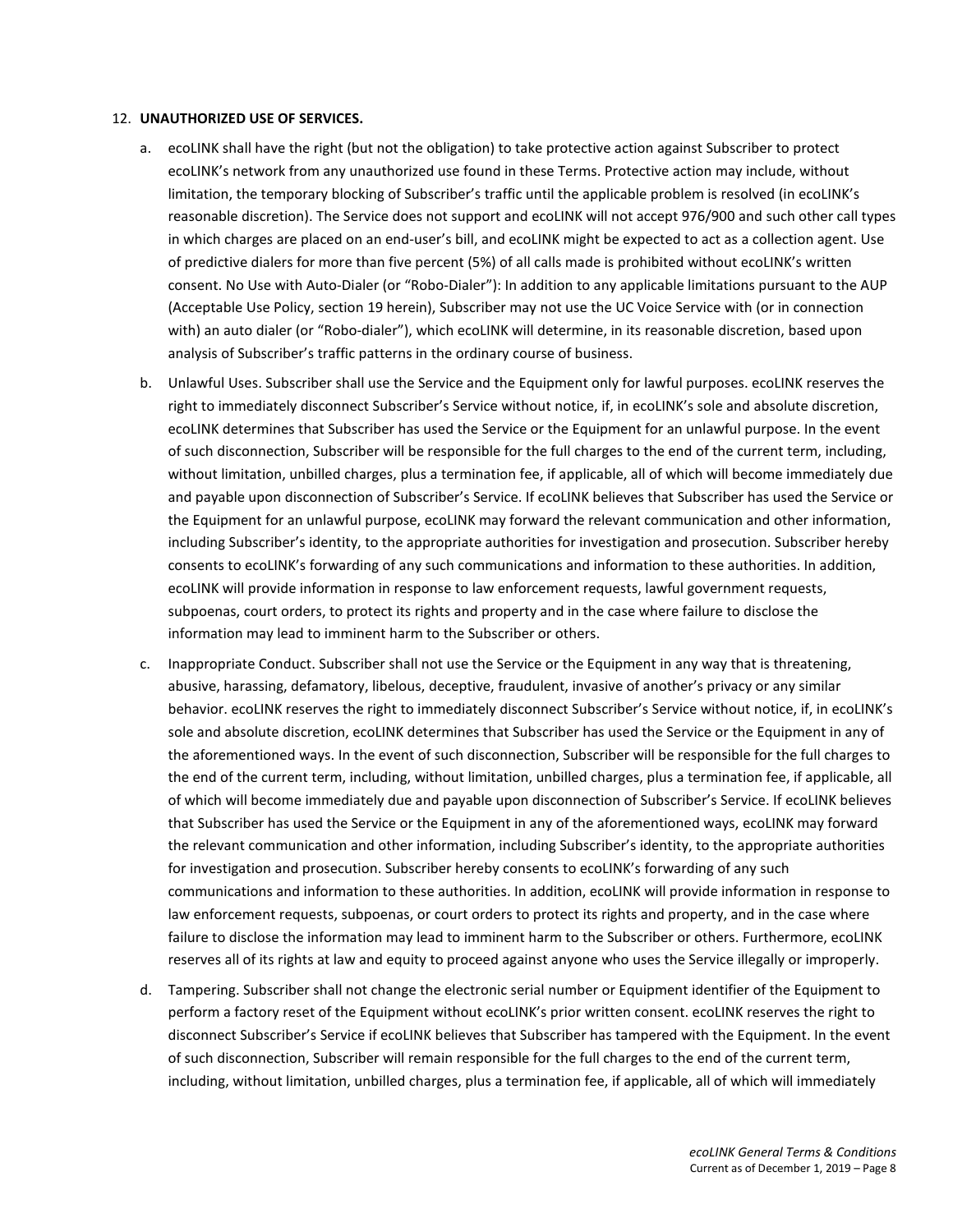#### 12. **UNAUTHORIZED USE OF SERVICES.**

- a. ecoLINK shall have the right (but not the obligation) to take protective action against Subscriber to protect ecoLINK's network from any unauthorized use found in these Terms. Protective action may include, without limitation, the temporary blocking of Subscriber's traffic until the applicable problem is resolved (in ecoLINK's reasonable discretion). The Service does not support and ecoLINK will not accept 976/900 and such other call types in which charges are placed on an end-user's bill, and ecoLINK might be expected to act as a collection agent. Use of predictive dialers for more than five percent (5%) of all calls made is prohibited without ecoLINK's written consent. No Use with Auto-Dialer (or "Robo-Dialer"): In addition to any applicable limitations pursuant to the AUP (Acceptable Use Policy, section 19 herein), Subscriber may not use the UC Voice Service with (or in connection with) an auto dialer (or "Robo-dialer"), which ecoLINK will determine, in its reasonable discretion, based upon analysis of Subscriber's traffic patterns in the ordinary course of business.
- b. Unlawful Uses. Subscriber shall use the Service and the Equipment only for lawful purposes. ecoLINK reserves the right to immediately disconnect Subscriber's Service without notice, if, in ecoLINK's sole and absolute discretion, ecoLINK determines that Subscriber has used the Service or the Equipment for an unlawful purpose. In the event of such disconnection, Subscriber will be responsible for the full charges to the end of the current term, including, without limitation, unbilled charges, plus a termination fee, if applicable, all of which will become immediately due and payable upon disconnection of Subscriber's Service. If ecoLINK believes that Subscriber has used the Service or the Equipment for an unlawful purpose, ecoLINK may forward the relevant communication and other information, including Subscriber's identity, to the appropriate authorities for investigation and prosecution. Subscriber hereby consents to ecoLINK's forwarding of any such communications and information to these authorities. In addition, ecoLINK will provide information in response to law enforcement requests, lawful government requests, subpoenas, court orders, to protect its rights and property and in the case where failure to disclose the information may lead to imminent harm to the Subscriber or others.
- c. Inappropriate Conduct. Subscriber shall not use the Service or the Equipment in any way that is threatening, abusive, harassing, defamatory, libelous, deceptive, fraudulent, invasive of another's privacy or any similar behavior. ecoLINK reserves the right to immediately disconnect Subscriber's Service without notice, if, in ecoLINK's sole and absolute discretion, ecoLINK determines that Subscriber has used the Service or the Equipment in any of the aforementioned ways. In the event of such disconnection, Subscriber will be responsible for the full charges to the end of the current term, including, without limitation, unbilled charges, plus a termination fee, if applicable, all of which will become immediately due and payable upon disconnection of Subscriber's Service. If ecoLINK believes that Subscriber has used the Service or the Equipment in any of the aforementioned ways, ecoLINK may forward the relevant communication and other information, including Subscriber's identity, to the appropriate authorities for investigation and prosecution. Subscriber hereby consents to ecoLINK's forwarding of any such communications and information to these authorities. In addition, ecoLINK will provide information in response to law enforcement requests, subpoenas, or court orders to protect its rights and property, and in the case where failure to disclose the information may lead to imminent harm to the Subscriber or others. Furthermore, ecoLINK reserves all of its rights at law and equity to proceed against anyone who uses the Service illegally or improperly.
- d. Tampering. Subscriber shall not change the electronic serial number or Equipment identifier of the Equipment to perform a factory reset of the Equipment without ecoLINK's prior written consent. ecoLINK reserves the right to disconnect Subscriber's Service if ecoLINK believes that Subscriber has tampered with the Equipment. In the event of such disconnection, Subscriber will remain responsible for the full charges to the end of the current term, including, without limitation, unbilled charges, plus a termination fee, if applicable, all of which will immediately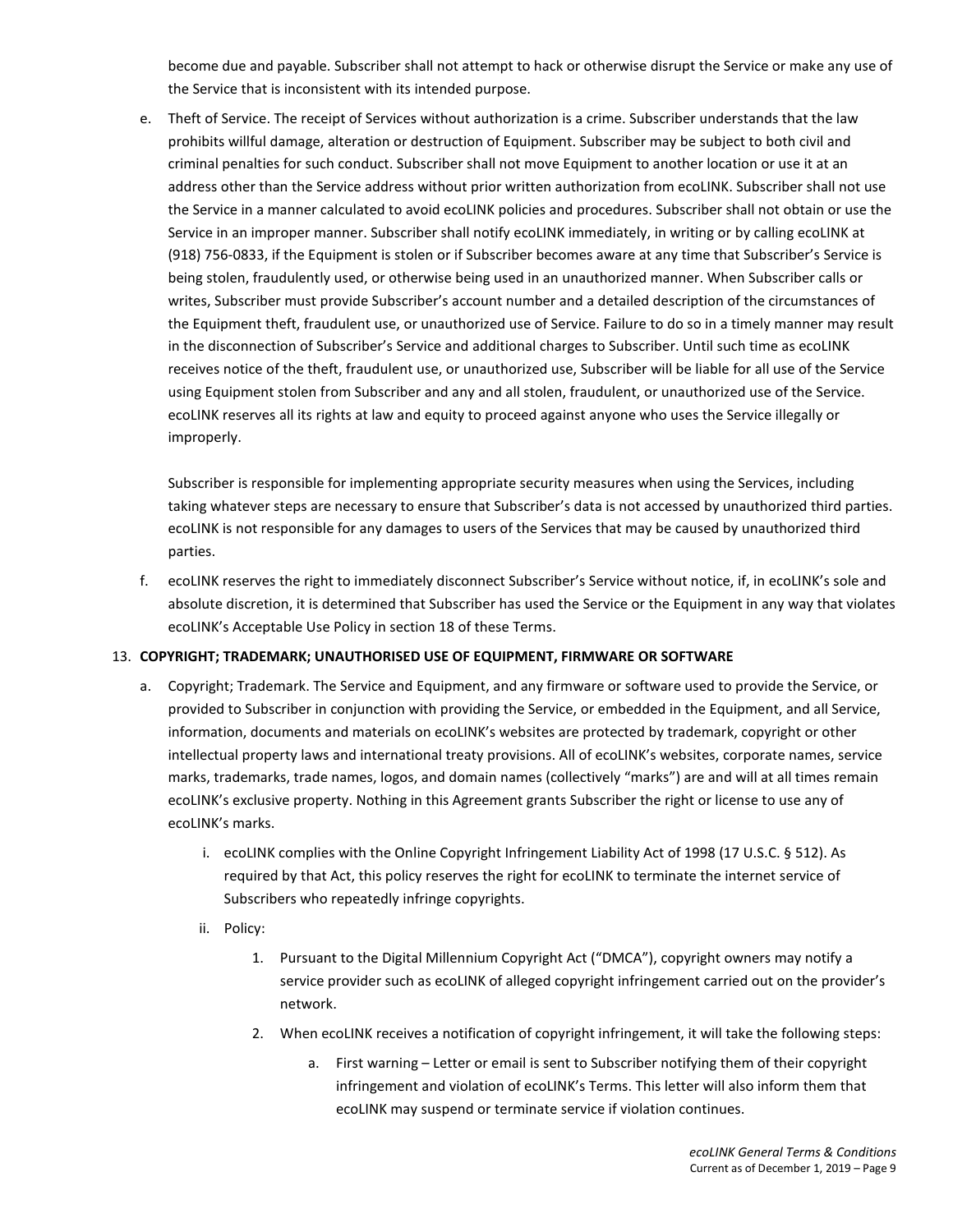become due and payable. Subscriber shall not attempt to hack or otherwise disrupt the Service or make any use of the Service that is inconsistent with its intended purpose.

e. Theft of Service. The receipt of Services without authorization is a crime. Subscriber understands that the law prohibits willful damage, alteration or destruction of Equipment. Subscriber may be subject to both civil and criminal penalties for such conduct. Subscriber shall not move Equipment to another location or use it at an address other than the Service address without prior written authorization from ecoLINK. Subscriber shall not use the Service in a manner calculated to avoid ecoLINK policies and procedures. Subscriber shall not obtain or use the Service in an improper manner. Subscriber shall notify ecoLINK immediately, in writing or by calling ecoLINK at (918) 756-0833, if the Equipment is stolen or if Subscriber becomes aware at any time that Subscriber's Service is being stolen, fraudulently used, or otherwise being used in an unauthorized manner. When Subscriber calls or writes, Subscriber must provide Subscriber's account number and a detailed description of the circumstances of the Equipment theft, fraudulent use, or unauthorized use of Service. Failure to do so in a timely manner may result in the disconnection of Subscriber's Service and additional charges to Subscriber. Until such time as ecoLINK receives notice of the theft, fraudulent use, or unauthorized use, Subscriber will be liable for all use of the Service using Equipment stolen from Subscriber and any and all stolen, fraudulent, or unauthorized use of the Service. ecoLINK reserves all its rights at law and equity to proceed against anyone who uses the Service illegally or improperly.

Subscriber is responsible for implementing appropriate security measures when using the Services, including taking whatever steps are necessary to ensure that Subscriber's data is not accessed by unauthorized third parties. ecoLINK is not responsible for any damages to users of the Services that may be caused by unauthorized third parties.

f. ecoLINK reserves the right to immediately disconnect Subscriber's Service without notice, if, in ecoLINK's sole and absolute discretion, it is determined that Subscriber has used the Service or the Equipment in any way that violates ecoLINK's Acceptable Use Policy in section 18 of these Terms.

# 13. **COPYRIGHT; TRADEMARK; UNAUTHORISED USE OF EQUIPMENT, FIRMWARE OR SOFTWARE**

- a. Copyright; Trademark. The Service and Equipment, and any firmware or software used to provide the Service, or provided to Subscriber in conjunction with providing the Service, or embedded in the Equipment, and all Service, information, documents and materials on ecoLINK's websites are protected by trademark, copyright or other intellectual property laws and international treaty provisions. All of ecoLINK's websites, corporate names, service marks, trademarks, trade names, logos, and domain names (collectively "marks") are and will at all times remain ecoLINK's exclusive property. Nothing in this Agreement grants Subscriber the right or license to use any of ecoLINK's marks.
	- i. ecoLINK complies with the Online Copyright Infringement Liability Act of 1998 (17 U.S.C. § 512). As required by that Act, this policy reserves the right for ecoLINK to terminate the internet service of Subscribers who repeatedly infringe copyrights.
	- ii. Policy:
		- 1. Pursuant to the Digital Millennium Copyright Act ("DMCA"), copyright owners may notify a service provider such as ecoLINK of alleged copyright infringement carried out on the provider's network.
		- 2. When ecoLINK receives a notification of copyright infringement, it will take the following steps:
			- a. First warning Letter or email is sent to Subscriber notifying them of their copyright infringement and violation of ecoLINK's Terms. This letter will also inform them that ecoLINK may suspend or terminate service if violation continues.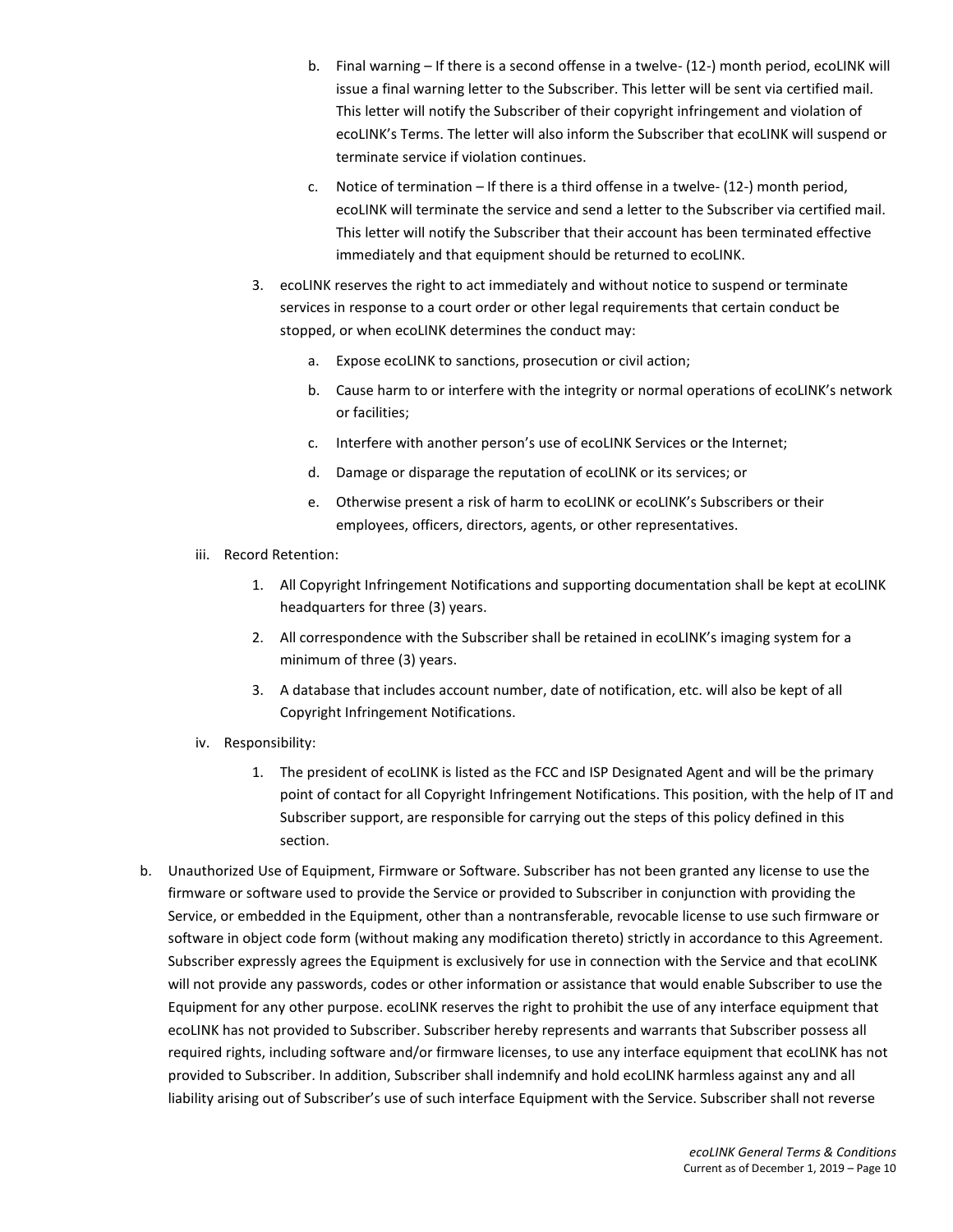- b. Final warning If there is a second offense in a twelve- (12-) month period, ecoLINK will issue a final warning letter to the Subscriber. This letter will be sent via certified mail. This letter will notify the Subscriber of their copyright infringement and violation of ecoLINK's Terms. The letter will also inform the Subscriber that ecoLINK will suspend or terminate service if violation continues.
- c. Notice of termination If there is a third offense in a twelve- (12-) month period, ecoLINK will terminate the service and send a letter to the Subscriber via certified mail. This letter will notify the Subscriber that their account has been terminated effective immediately and that equipment should be returned to ecoLINK.
- 3. ecoLINK reserves the right to act immediately and without notice to suspend or terminate services in response to a court order or other legal requirements that certain conduct be stopped, or when ecoLINK determines the conduct may:
	- a. Expose ecoLINK to sanctions, prosecution or civil action;
	- b. Cause harm to or interfere with the integrity or normal operations of ecoLINK's network or facilities;
	- c. Interfere with another person's use of ecoLINK Services or the Internet;
	- d. Damage or disparage the reputation of ecoLINK or its services; or
	- e. Otherwise present a risk of harm to ecoLINK or ecoLINK's Subscribers or their employees, officers, directors, agents, or other representatives.
- iii. Record Retention:
	- 1. All Copyright Infringement Notifications and supporting documentation shall be kept at ecoLINK headquarters for three (3) years.
	- 2. All correspondence with the Subscriber shall be retained in ecoLINK's imaging system for a minimum of three (3) years.
	- 3. A database that includes account number, date of notification, etc. will also be kept of all Copyright Infringement Notifications.
- iv. Responsibility:
	- 1. The president of ecoLINK is listed as the FCC and ISP Designated Agent and will be the primary point of contact for all Copyright Infringement Notifications. This position, with the help of IT and Subscriber support, are responsible for carrying out the steps of this policy defined in this section.
- b. Unauthorized Use of Equipment, Firmware or Software. Subscriber has not been granted any license to use the firmware or software used to provide the Service or provided to Subscriber in conjunction with providing the Service, or embedded in the Equipment, other than a nontransferable, revocable license to use such firmware or software in object code form (without making any modification thereto) strictly in accordance to this Agreement. Subscriber expressly agrees the Equipment is exclusively for use in connection with the Service and that ecoLINK will not provide any passwords, codes or other information or assistance that would enable Subscriber to use the Equipment for any other purpose. ecoLINK reserves the right to prohibit the use of any interface equipment that ecoLINK has not provided to Subscriber. Subscriber hereby represents and warrants that Subscriber possess all required rights, including software and/or firmware licenses, to use any interface equipment that ecoLINK has not provided to Subscriber. In addition, Subscriber shall indemnify and hold ecoLINK harmless against any and all liability arising out of Subscriber's use of such interface Equipment with the Service. Subscriber shall not reverse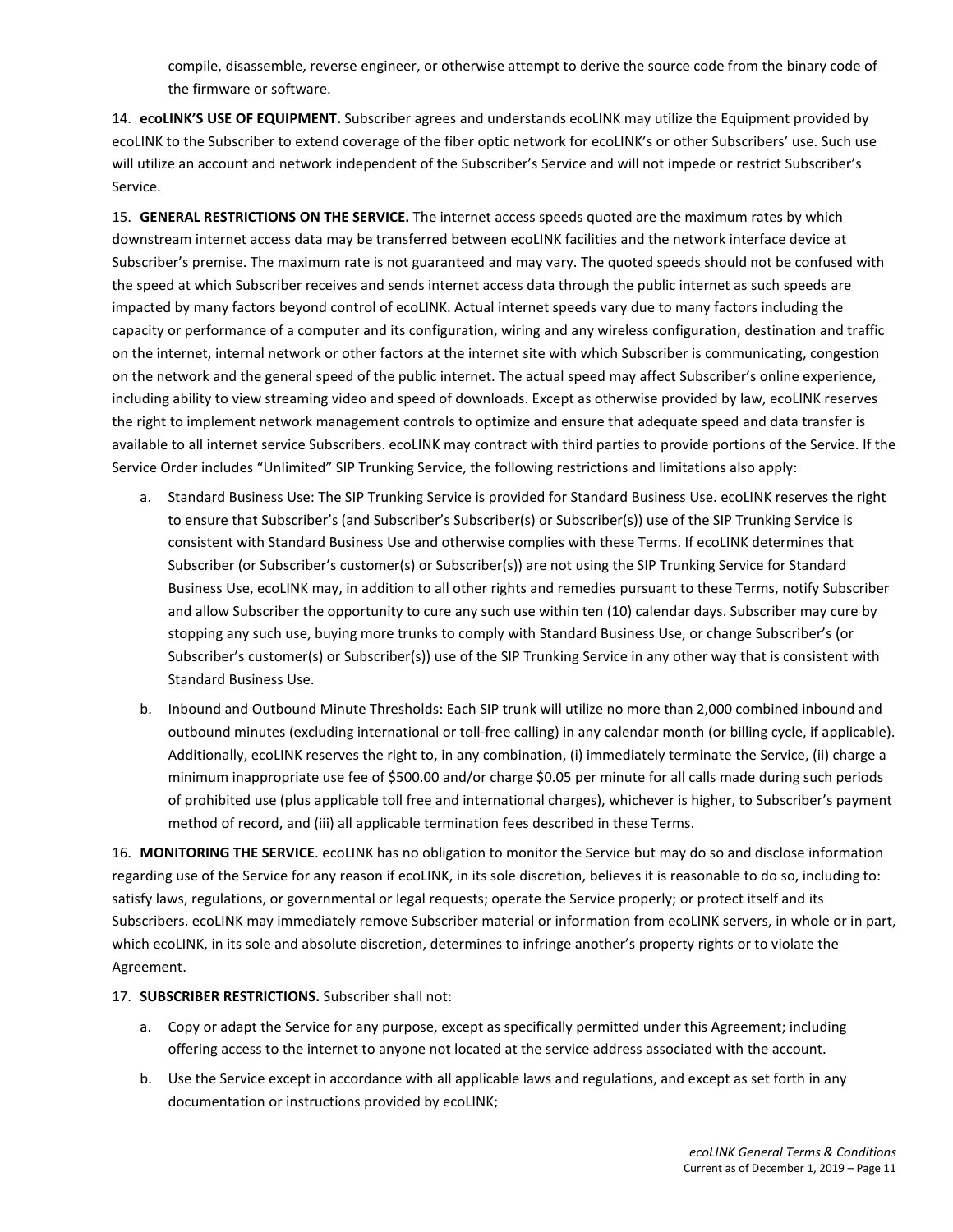compile, disassemble, reverse engineer, or otherwise attempt to derive the source code from the binary code of the firmware or software.

14. **ecoLINK'S USE OF EQUIPMENT.** Subscriber agrees and understands ecoLINK may utilize the Equipment provided by ecoLINK to the Subscriber to extend coverage of the fiber optic network for ecoLINK's or other Subscribers' use. Such use will utilize an account and network independent of the Subscriber's Service and will not impede or restrict Subscriber's Service.

15. **GENERAL RESTRICTIONS ON THE SERVICE.** The internet access speeds quoted are the maximum rates by which downstream internet access data may be transferred between ecoLINK facilities and the network interface device at Subscriber's premise. The maximum rate is not guaranteed and may vary. The quoted speeds should not be confused with the speed at which Subscriber receives and sends internet access data through the public internet as such speeds are impacted by many factors beyond control of ecoLINK. Actual internet speeds vary due to many factors including the capacity or performance of a computer and its configuration, wiring and any wireless configuration, destination and traffic on the internet, internal network or other factors at the internet site with which Subscriber is communicating, congestion on the network and the general speed of the public internet. The actual speed may affect Subscriber's online experience, including ability to view streaming video and speed of downloads. Except as otherwise provided by law, ecoLINK reserves the right to implement network management controls to optimize and ensure that adequate speed and data transfer is available to all internet service Subscribers. ecoLINK may contract with third parties to provide portions of the Service. If the Service Order includes "Unlimited" SIP Trunking Service, the following restrictions and limitations also apply:

- a. Standard Business Use: The SIP Trunking Service is provided for Standard Business Use. ecoLINK reserves the right to ensure that Subscriber's (and Subscriber's Subscriber(s) or Subscriber(s)) use of the SIP Trunking Service is consistent with Standard Business Use and otherwise complies with these Terms. If ecoLINK determines that Subscriber (or Subscriber's customer(s) or Subscriber(s)) are not using the SIP Trunking Service for Standard Business Use, ecoLINK may, in addition to all other rights and remedies pursuant to these Terms, notify Subscriber and allow Subscriber the opportunity to cure any such use within ten (10) calendar days. Subscriber may cure by stopping any such use, buying more trunks to comply with Standard Business Use, or change Subscriber's (or Subscriber's customer(s) or Subscriber(s)) use of the SIP Trunking Service in any other way that is consistent with Standard Business Use.
- b. Inbound and Outbound Minute Thresholds: Each SIP trunk will utilize no more than 2,000 combined inbound and outbound minutes (excluding international or toll-free calling) in any calendar month (or billing cycle, if applicable). Additionally, ecoLINK reserves the right to, in any combination, (i) immediately terminate the Service, (ii) charge a minimum inappropriate use fee of \$500.00 and/or charge \$0.05 per minute for all calls made during such periods of prohibited use (plus applicable toll free and international charges), whichever is higher, to Subscriber's payment method of record, and (iii) all applicable termination fees described in these Terms.

16. **MONITORING THE SERVICE**. ecoLINK has no obligation to monitor the Service but may do so and disclose information regarding use of the Service for any reason if ecoLINK, in its sole discretion, believes it is reasonable to do so, including to: satisfy laws, regulations, or governmental or legal requests; operate the Service properly; or protect itself and its Subscribers. ecoLINK may immediately remove Subscriber material or information from ecoLINK servers, in whole or in part, which ecoLINK, in its sole and absolute discretion, determines to infringe another's property rights or to violate the Agreement.

# 17. **SUBSCRIBER RESTRICTIONS.** Subscriber shall not:

- a. Copy or adapt the Service for any purpose, except as specifically permitted under this Agreement; including offering access to the internet to anyone not located at the service address associated with the account.
- b. Use the Service except in accordance with all applicable laws and regulations, and except as set forth in any documentation or instructions provided by ecoLINK;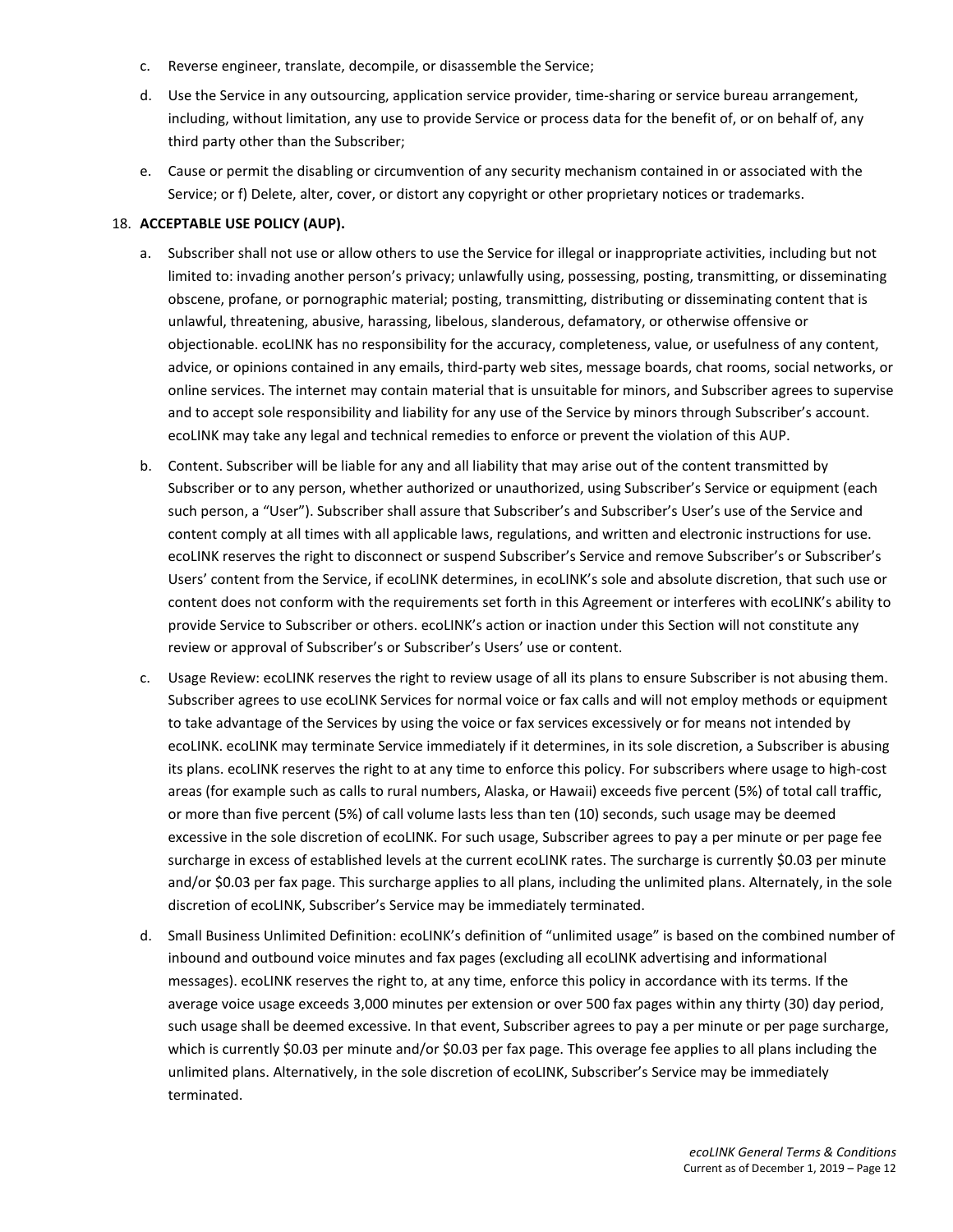- c. Reverse engineer, translate, decompile, or disassemble the Service;
- d. Use the Service in any outsourcing, application service provider, time-sharing or service bureau arrangement, including, without limitation, any use to provide Service or process data for the benefit of, or on behalf of, any third party other than the Subscriber;
- e. Cause or permit the disabling or circumvention of any security mechanism contained in or associated with the Service; or f) Delete, alter, cover, or distort any copyright or other proprietary notices or trademarks.

#### 18. **ACCEPTABLE USE POLICY (AUP).**

- a. Subscriber shall not use or allow others to use the Service for illegal or inappropriate activities, including but not limited to: invading another person's privacy; unlawfully using, possessing, posting, transmitting, or disseminating obscene, profane, or pornographic material; posting, transmitting, distributing or disseminating content that is unlawful, threatening, abusive, harassing, libelous, slanderous, defamatory, or otherwise offensive or objectionable. ecoLINK has no responsibility for the accuracy, completeness, value, or usefulness of any content, advice, or opinions contained in any emails, third-party web sites, message boards, chat rooms, social networks, or online services. The internet may contain material that is unsuitable for minors, and Subscriber agrees to supervise and to accept sole responsibility and liability for any use of the Service by minors through Subscriber's account. ecoLINK may take any legal and technical remedies to enforce or prevent the violation of this AUP.
- b. Content. Subscriber will be liable for any and all liability that may arise out of the content transmitted by Subscriber or to any person, whether authorized or unauthorized, using Subscriber's Service or equipment (each such person, a "User"). Subscriber shall assure that Subscriber's and Subscriber's User's use of the Service and content comply at all times with all applicable laws, regulations, and written and electronic instructions for use. ecoLINK reserves the right to disconnect or suspend Subscriber's Service and remove Subscriber's or Subscriber's Users' content from the Service, if ecoLINK determines, in ecoLINK's sole and absolute discretion, that such use or content does not conform with the requirements set forth in this Agreement or interferes with ecoLINK's ability to provide Service to Subscriber or others. ecoLINK's action or inaction under this Section will not constitute any review or approval of Subscriber's or Subscriber's Users' use or content.
- c. Usage Review: ecoLINK reserves the right to review usage of all its plans to ensure Subscriber is not abusing them. Subscriber agrees to use ecoLINK Services for normal voice or fax calls and will not employ methods or equipment to take advantage of the Services by using the voice or fax services excessively or for means not intended by ecoLINK. ecoLINK may terminate Service immediately if it determines, in its sole discretion, a Subscriber is abusing its plans. ecoLINK reserves the right to at any time to enforce this policy. For subscribers where usage to high-cost areas (for example such as calls to rural numbers, Alaska, or Hawaii) exceeds five percent (5%) of total call traffic, or more than five percent (5%) of call volume lasts less than ten (10) seconds, such usage may be deemed excessive in the sole discretion of ecoLINK. For such usage, Subscriber agrees to pay a per minute or per page fee surcharge in excess of established levels at the current ecoLINK rates. The surcharge is currently \$0.03 per minute and/or \$0.03 per fax page. This surcharge applies to all plans, including the unlimited plans. Alternately, in the sole discretion of ecoLINK, Subscriber's Service may be immediately terminated.
- d. Small Business Unlimited Definition: ecoLINK's definition of "unlimited usage" is based on the combined number of inbound and outbound voice minutes and fax pages (excluding all ecoLINK advertising and informational messages). ecoLINK reserves the right to, at any time, enforce this policy in accordance with its terms. If the average voice usage exceeds 3,000 minutes per extension or over 500 fax pages within any thirty (30) day period, such usage shall be deemed excessive. In that event, Subscriber agrees to pay a per minute or per page surcharge, which is currently \$0.03 per minute and/or \$0.03 per fax page. This overage fee applies to all plans including the unlimited plans. Alternatively, in the sole discretion of ecoLINK, Subscriber's Service may be immediately terminated.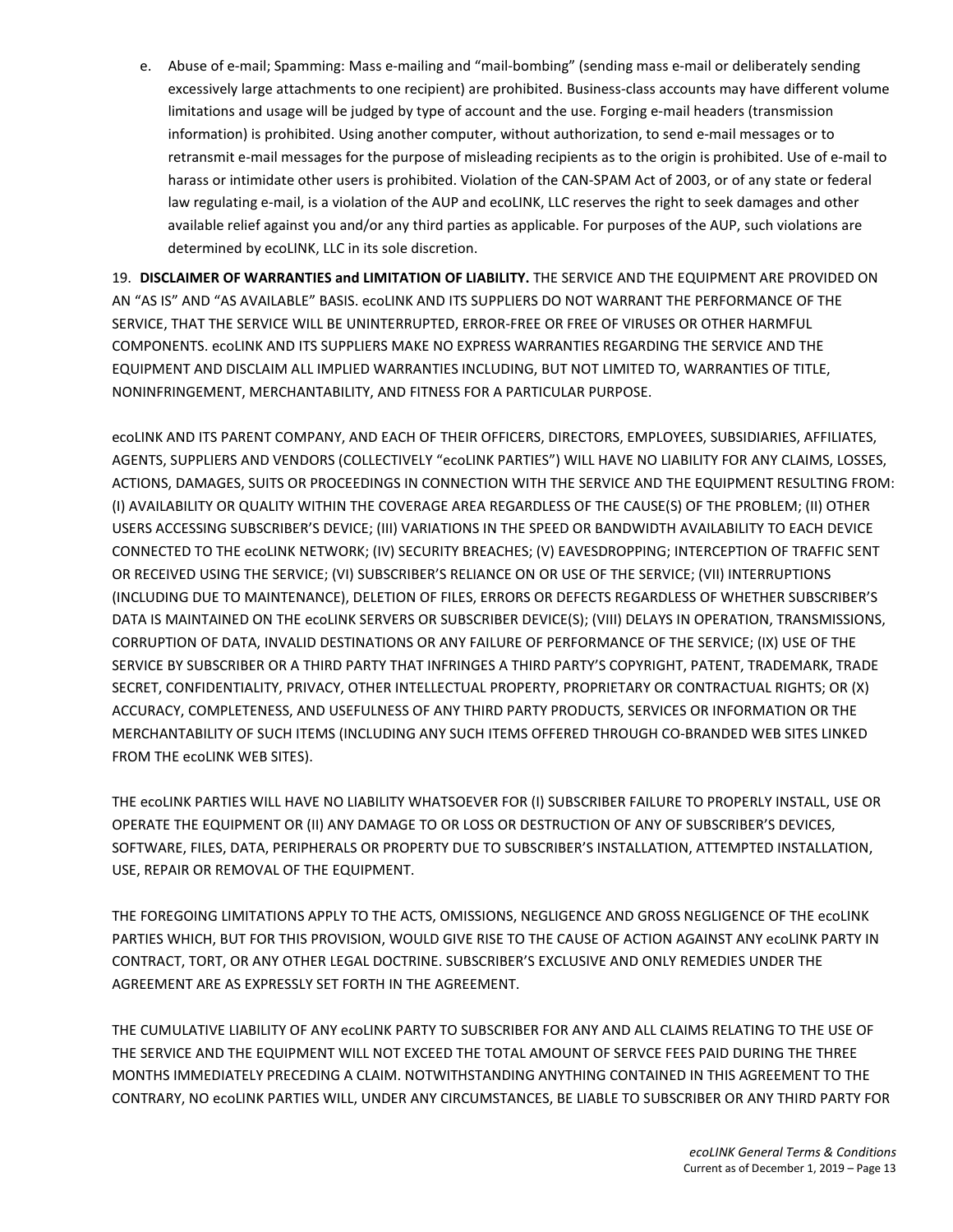e. Abuse of e-mail; Spamming: Mass e-mailing and "mail-bombing" (sending mass e-mail or deliberately sending excessively large attachments to one recipient) are prohibited. Business-class accounts may have different volume limitations and usage will be judged by type of account and the use. Forging e-mail headers (transmission information) is prohibited. Using another computer, without authorization, to send e-mail messages or to retransmit e-mail messages for the purpose of misleading recipients as to the origin is prohibited. Use of e-mail to harass or intimidate other users is prohibited. Violation of the CAN-SPAM Act of 2003, or of any state or federal law regulating e-mail, is a violation of the AUP and ecoLINK, LLC reserves the right to seek damages and other available relief against you and/or any third parties as applicable. For purposes of the AUP, such violations are determined by ecoLINK, LLC in its sole discretion.

19. **DISCLAIMER OF WARRANTIES and LIMITATION OF LIABILITY.** THE SERVICE AND THE EQUIPMENT ARE PROVIDED ON AN "AS IS" AND "AS AVAILABLE" BASIS. ecoLINK AND ITS SUPPLIERS DO NOT WARRANT THE PERFORMANCE OF THE SERVICE, THAT THE SERVICE WILL BE UNINTERRUPTED, ERROR-FREE OR FREE OF VIRUSES OR OTHER HARMFUL COMPONENTS. ecoLINK AND ITS SUPPLIERS MAKE NO EXPRESS WARRANTIES REGARDING THE SERVICE AND THE EQUIPMENT AND DISCLAIM ALL IMPLIED WARRANTIES INCLUDING, BUT NOT LIMITED TO, WARRANTIES OF TITLE, NONINFRINGEMENT, MERCHANTABILITY, AND FITNESS FOR A PARTICULAR PURPOSE.

ecoLINK AND ITS PARENT COMPANY, AND EACH OF THEIR OFFICERS, DIRECTORS, EMPLOYEES, SUBSIDIARIES, AFFILIATES, AGENTS, SUPPLIERS AND VENDORS (COLLECTIVELY "ecoLINK PARTIES") WILL HAVE NO LIABILITY FOR ANY CLAIMS, LOSSES, ACTIONS, DAMAGES, SUITS OR PROCEEDINGS IN CONNECTION WITH THE SERVICE AND THE EQUIPMENT RESULTING FROM: (I) AVAILABILITY OR QUALITY WITHIN THE COVERAGE AREA REGARDLESS OF THE CAUSE(S) OF THE PROBLEM; (II) OTHER USERS ACCESSING SUBSCRIBER'S DEVICE; (III) VARIATIONS IN THE SPEED OR BANDWIDTH AVAILABILITY TO EACH DEVICE CONNECTED TO THE ecoLINK NETWORK; (IV) SECURITY BREACHES; (V) EAVESDROPPING; INTERCEPTION OF TRAFFIC SENT OR RECEIVED USING THE SERVICE; (VI) SUBSCRIBER'S RELIANCE ON OR USE OF THE SERVICE; (VII) INTERRUPTIONS (INCLUDING DUE TO MAINTENANCE), DELETION OF FILES, ERRORS OR DEFECTS REGARDLESS OF WHETHER SUBSCRIBER'S DATA IS MAINTAINED ON THE ecoLINK SERVERS OR SUBSCRIBER DEVICE(S); (VIII) DELAYS IN OPERATION, TRANSMISSIONS, CORRUPTION OF DATA, INVALID DESTINATIONS OR ANY FAILURE OF PERFORMANCE OF THE SERVICE; (IX) USE OF THE SERVICE BY SUBSCRIBER OR A THIRD PARTY THAT INFRINGES A THIRD PARTY'S COPYRIGHT, PATENT, TRADEMARK, TRADE SECRET, CONFIDENTIALITY, PRIVACY, OTHER INTELLECTUAL PROPERTY, PROPRIETARY OR CONTRACTUAL RIGHTS; OR (X) ACCURACY, COMPLETENESS, AND USEFULNESS OF ANY THIRD PARTY PRODUCTS, SERVICES OR INFORMATION OR THE MERCHANTABILITY OF SUCH ITEMS (INCLUDING ANY SUCH ITEMS OFFERED THROUGH CO-BRANDED WEB SITES LINKED FROM THE ecoLINK WEB SITES).

THE ecoLINK PARTIES WILL HAVE NO LIABILITY WHATSOEVER FOR (I) SUBSCRIBER FAILURE TO PROPERLY INSTALL, USE OR OPERATE THE EQUIPMENT OR (II) ANY DAMAGE TO OR LOSS OR DESTRUCTION OF ANY OF SUBSCRIBER'S DEVICES, SOFTWARE, FILES, DATA, PERIPHERALS OR PROPERTY DUE TO SUBSCRIBER'S INSTALLATION, ATTEMPTED INSTALLATION, USE, REPAIR OR REMOVAL OF THE EQUIPMENT.

THE FOREGOING LIMITATIONS APPLY TO THE ACTS, OMISSIONS, NEGLIGENCE AND GROSS NEGLIGENCE OF THE ecoLINK PARTIES WHICH, BUT FOR THIS PROVISION, WOULD GIVE RISE TO THE CAUSE OF ACTION AGAINST ANY ecoLINK PARTY IN CONTRACT, TORT, OR ANY OTHER LEGAL DOCTRINE. SUBSCRIBER'S EXCLUSIVE AND ONLY REMEDIES UNDER THE AGREEMENT ARE AS EXPRESSLY SET FORTH IN THE AGREEMENT.

THE CUMULATIVE LIABILITY OF ANY ecoLINK PARTY TO SUBSCRIBER FOR ANY AND ALL CLAIMS RELATING TO THE USE OF THE SERVICE AND THE EQUIPMENT WILL NOT EXCEED THE TOTAL AMOUNT OF SERVCE FEES PAID DURING THE THREE MONTHS IMMEDIATELY PRECEDING A CLAIM. NOTWITHSTANDING ANYTHING CONTAINED IN THIS AGREEMENT TO THE CONTRARY, NO ecoLINK PARTIES WILL, UNDER ANY CIRCUMSTANCES, BE LIABLE TO SUBSCRIBER OR ANY THIRD PARTY FOR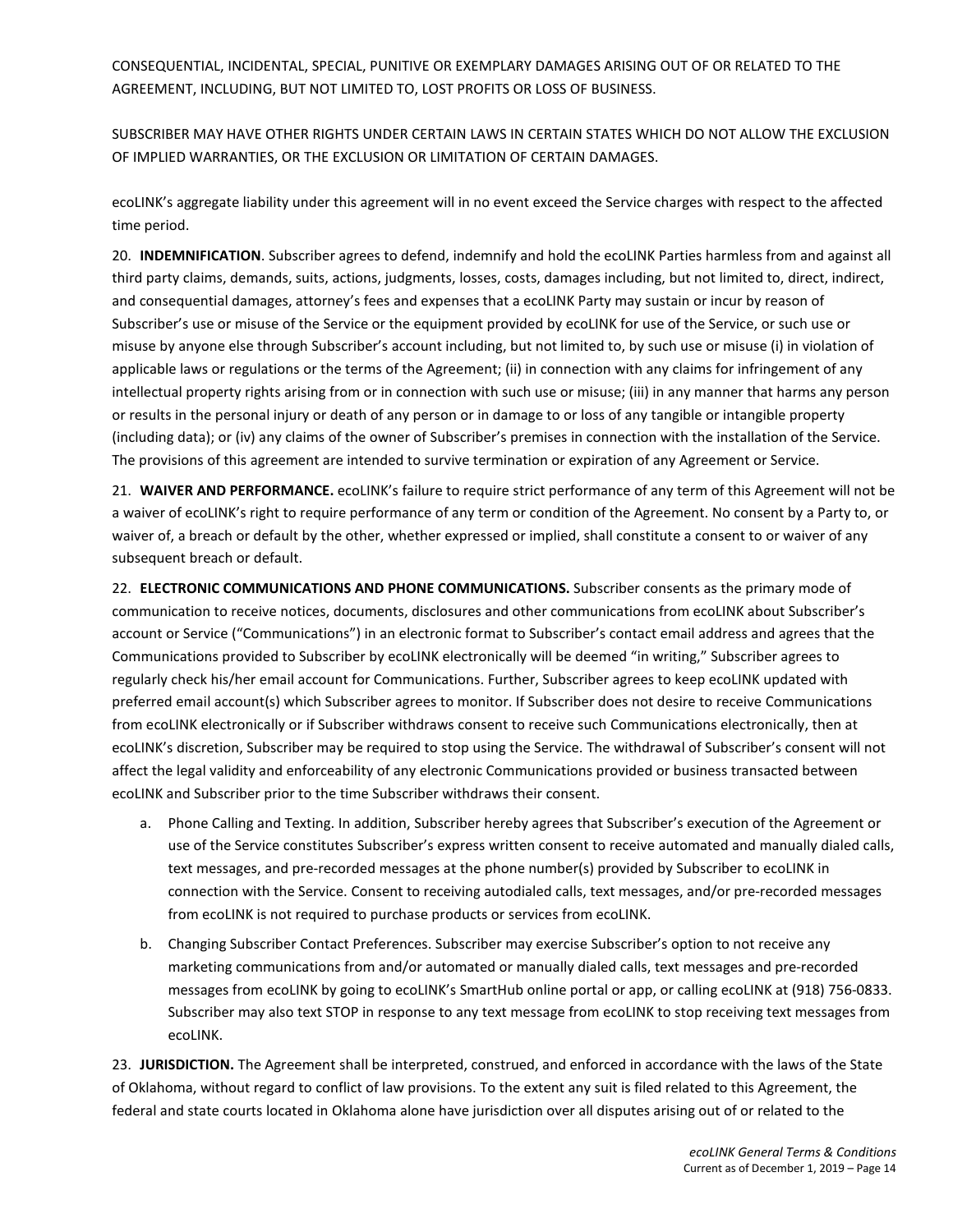CONSEQUENTIAL, INCIDENTAL, SPECIAL, PUNITIVE OR EXEMPLARY DAMAGES ARISING OUT OF OR RELATED TO THE AGREEMENT, INCLUDING, BUT NOT LIMITED TO, LOST PROFITS OR LOSS OF BUSINESS.

SUBSCRIBER MAY HAVE OTHER RIGHTS UNDER CERTAIN LAWS IN CERTAIN STATES WHICH DO NOT ALLOW THE EXCLUSION OF IMPLIED WARRANTIES, OR THE EXCLUSION OR LIMITATION OF CERTAIN DAMAGES.

ecoLINK's aggregate liability under this agreement will in no event exceed the Service charges with respect to the affected time period.

20. **INDEMNIFICATION**. Subscriber agrees to defend, indemnify and hold the ecoLINK Parties harmless from and against all third party claims, demands, suits, actions, judgments, losses, costs, damages including, but not limited to, direct, indirect, and consequential damages, attorney's fees and expenses that a ecoLINK Party may sustain or incur by reason of Subscriber's use or misuse of the Service or the equipment provided by ecoLINK for use of the Service, or such use or misuse by anyone else through Subscriber's account including, but not limited to, by such use or misuse (i) in violation of applicable laws or regulations or the terms of the Agreement; (ii) in connection with any claims for infringement of any intellectual property rights arising from or in connection with such use or misuse; (iii) in any manner that harms any person or results in the personal injury or death of any person or in damage to or loss of any tangible or intangible property (including data); or (iv) any claims of the owner of Subscriber's premises in connection with the installation of the Service. The provisions of this agreement are intended to survive termination or expiration of any Agreement or Service.

21. **WAIVER AND PERFORMANCE.** ecoLINK's failure to require strict performance of any term of this Agreement will not be a waiver of ecoLINK's right to require performance of any term or condition of the Agreement. No consent by a Party to, or waiver of, a breach or default by the other, whether expressed or implied, shall constitute a consent to or waiver of any subsequent breach or default.

22. **ELECTRONIC COMMUNICATIONS AND PHONE COMMUNICATIONS.** Subscriber consents as the primary mode of communication to receive notices, documents, disclosures and other communications from ecoLINK about Subscriber's account or Service ("Communications") in an electronic format to Subscriber's contact email address and agrees that the Communications provided to Subscriber by ecoLINK electronically will be deemed "in writing," Subscriber agrees to regularly check his/her email account for Communications. Further, Subscriber agrees to keep ecoLINK updated with preferred email account(s) which Subscriber agrees to monitor. If Subscriber does not desire to receive Communications from ecoLINK electronically or if Subscriber withdraws consent to receive such Communications electronically, then at ecoLINK's discretion, Subscriber may be required to stop using the Service. The withdrawal of Subscriber's consent will not affect the legal validity and enforceability of any electronic Communications provided or business transacted between ecoLINK and Subscriber prior to the time Subscriber withdraws their consent.

- a. Phone Calling and Texting. In addition, Subscriber hereby agrees that Subscriber's execution of the Agreement or use of the Service constitutes Subscriber's express written consent to receive automated and manually dialed calls, text messages, and pre-recorded messages at the phone number(s) provided by Subscriber to ecoLINK in connection with the Service. Consent to receiving autodialed calls, text messages, and/or pre-recorded messages from ecoLINK is not required to purchase products or services from ecoLINK.
- b. Changing Subscriber Contact Preferences. Subscriber may exercise Subscriber's option to not receive any marketing communications from and/or automated or manually dialed calls, text messages and pre-recorded messages from ecoLINK by going to ecoLINK's SmartHub online portal or app, or calling ecoLINK at (918) 756-0833. Subscriber may also text STOP in response to any text message from ecoLINK to stop receiving text messages from ecoLINK.

23. **JURISDICTION.** The Agreement shall be interpreted, construed, and enforced in accordance with the laws of the State of Oklahoma, without regard to conflict of law provisions. To the extent any suit is filed related to this Agreement, the federal and state courts located in Oklahoma alone have jurisdiction over all disputes arising out of or related to the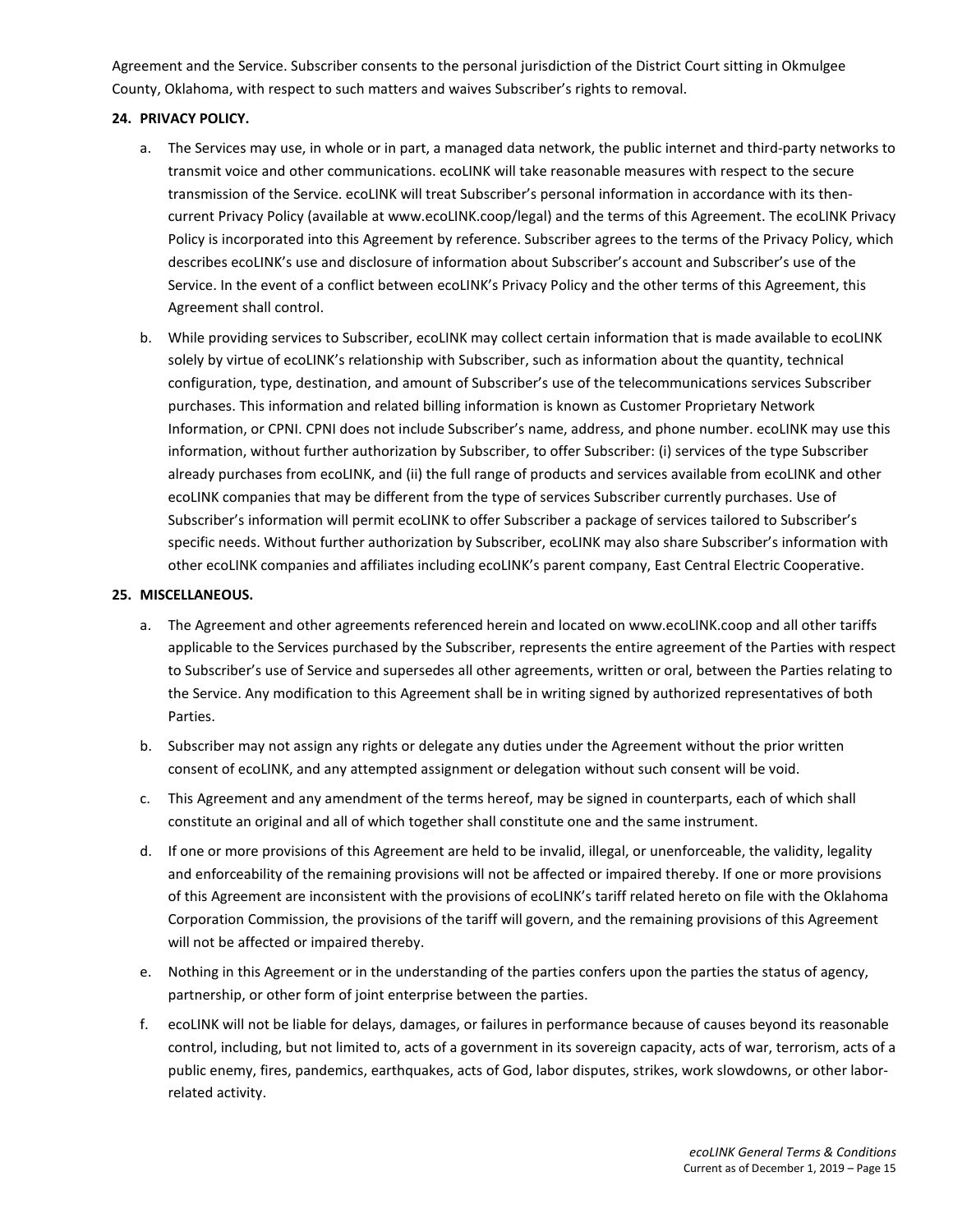Agreement and the Service. Subscriber consents to the personal jurisdiction of the District Court sitting in Okmulgee County, Oklahoma, with respect to such matters and waives Subscriber's rights to removal.

### **24. PRIVACY POLICY.**

- a. The Services may use, in whole or in part, a managed data network, the public internet and third-party networks to transmit voice and other communications. ecoLINK will take reasonable measures with respect to the secure transmission of the Service. ecoLINK will treat Subscriber's personal information in accordance with its thencurrent Privacy Policy (available at www.ecoLINK.coop/legal) and the terms of this Agreement. The ecoLINK Privacy Policy is incorporated into this Agreement by reference. Subscriber agrees to the terms of the Privacy Policy, which describes ecoLINK's use and disclosure of information about Subscriber's account and Subscriber's use of the Service. In the event of a conflict between ecoLINK's Privacy Policy and the other terms of this Agreement, this Agreement shall control.
- b. While providing services to Subscriber, ecoLINK may collect certain information that is made available to ecoLINK solely by virtue of ecoLINK's relationship with Subscriber, such as information about the quantity, technical configuration, type, destination, and amount of Subscriber's use of the telecommunications services Subscriber purchases. This information and related billing information is known as Customer Proprietary Network Information, or CPNI. CPNI does not include Subscriber's name, address, and phone number. ecoLINK may use this information, without further authorization by Subscriber, to offer Subscriber: (i) services of the type Subscriber already purchases from ecoLINK, and (ii) the full range of products and services available from ecoLINK and other ecoLINK companies that may be different from the type of services Subscriber currently purchases. Use of Subscriber's information will permit ecoLINK to offer Subscriber a package of services tailored to Subscriber's specific needs. Without further authorization by Subscriber, ecoLINK may also share Subscriber's information with other ecoLINK companies and affiliates including ecoLINK's parent company, East Central Electric Cooperative.

#### **25. MISCELLANEOUS.**

- a. The Agreement and other agreements referenced herein and located on www.ecoLINK.coop and all other tariffs applicable to the Services purchased by the Subscriber, represents the entire agreement of the Parties with respect to Subscriber's use of Service and supersedes all other agreements, written or oral, between the Parties relating to the Service. Any modification to this Agreement shall be in writing signed by authorized representatives of both Parties.
- b. Subscriber may not assign any rights or delegate any duties under the Agreement without the prior written consent of ecoLINK, and any attempted assignment or delegation without such consent will be void.
- c. This Agreement and any amendment of the terms hereof, may be signed in counterparts, each of which shall constitute an original and all of which together shall constitute one and the same instrument.
- d. If one or more provisions of this Agreement are held to be invalid, illegal, or unenforceable, the validity, legality and enforceability of the remaining provisions will not be affected or impaired thereby. If one or more provisions of this Agreement are inconsistent with the provisions of ecoLINK's tariff related hereto on file with the Oklahoma Corporation Commission, the provisions of the tariff will govern, and the remaining provisions of this Agreement will not be affected or impaired thereby.
- e. Nothing in this Agreement or in the understanding of the parties confers upon the parties the status of agency, partnership, or other form of joint enterprise between the parties.
- f. ecoLINK will not be liable for delays, damages, or failures in performance because of causes beyond its reasonable control, including, but not limited to, acts of a government in its sovereign capacity, acts of war, terrorism, acts of a public enemy, fires, pandemics, earthquakes, acts of God, labor disputes, strikes, work slowdowns, or other laborrelated activity.